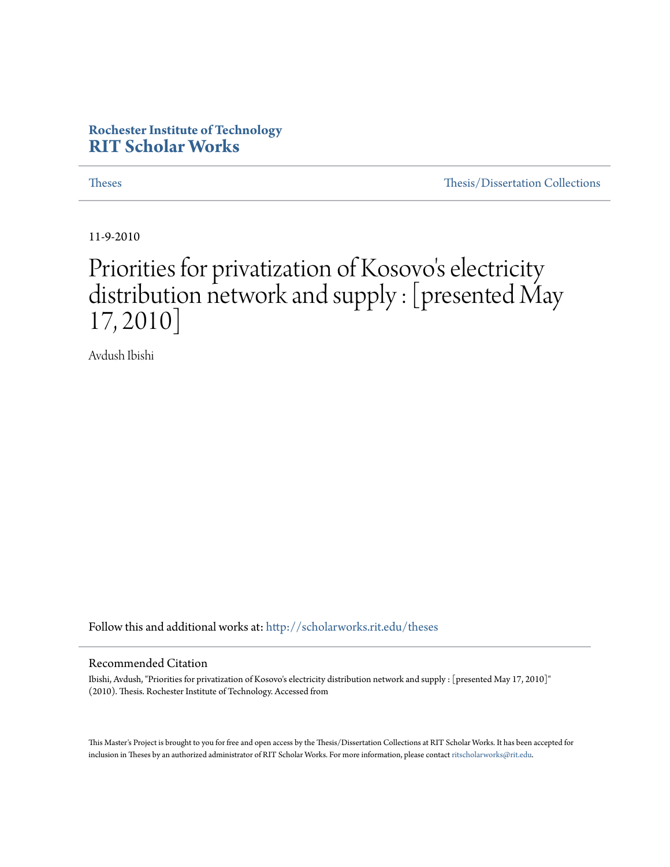## **Rochester Institute of Technology [RIT Scholar Works](http://scholarworks.rit.edu?utm_source=scholarworks.rit.edu%2Ftheses%2F6839&utm_medium=PDF&utm_campaign=PDFCoverPages)**

[Theses](http://scholarworks.rit.edu/theses?utm_source=scholarworks.rit.edu%2Ftheses%2F6839&utm_medium=PDF&utm_campaign=PDFCoverPages) [Thesis/Dissertation Collections](http://scholarworks.rit.edu/etd_collections?utm_source=scholarworks.rit.edu%2Ftheses%2F6839&utm_medium=PDF&utm_campaign=PDFCoverPages)

11-9-2010

# Priorities for privatization of Kosovo 's electricity distribution network and supply : [presented May 17, 2010]

Avdush Ibishi

Follow this and additional works at: [http://scholarworks.rit.edu/theses](http://scholarworks.rit.edu/theses?utm_source=scholarworks.rit.edu%2Ftheses%2F6839&utm_medium=PDF&utm_campaign=PDFCoverPages)

#### Recommended Citation

Ibishi, Avdush, "Priorities for privatization of Kosovo's electricity distribution network and supply : [presented May 17, 2010]" (2010). Thesis. Rochester Institute of Technology. Accessed from

This Master's Project is brought to you for free and open access by the Thesis/Dissertation Collections at RIT Scholar Works. It has been accepted for inclusion in Theses by an authorized administrator of RIT Scholar Works. For more information, please contact [ritscholarworks@rit.edu](mailto:ritscholarworks@rit.edu).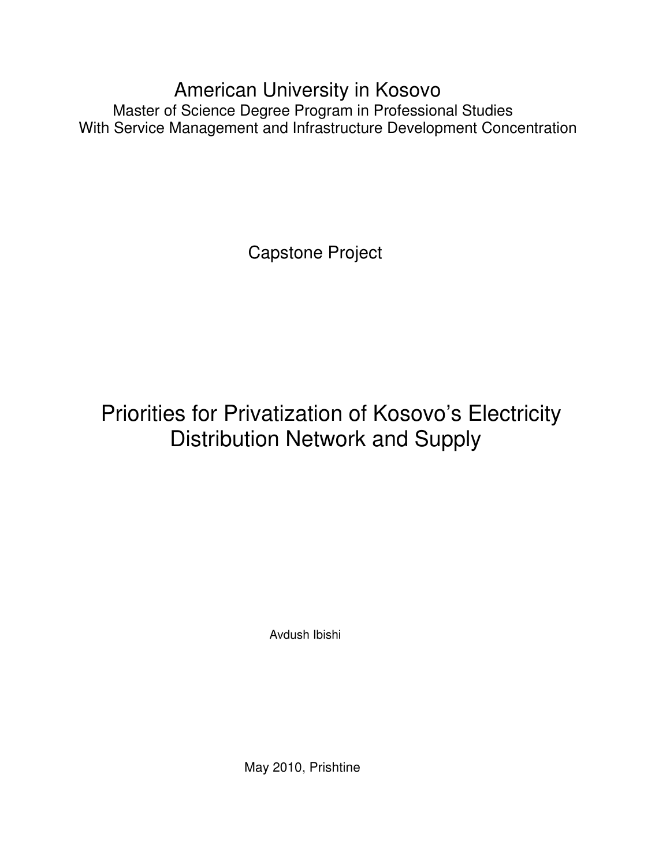American University in Kosovo Master of Science Degree Program in Professional Studies With Service Management and Infrastructure Development Concentration

Capstone Project

# Priorities for Privatization of Kosovo's Electricity Distribution Network and Supply

Avdush Ibishi

May 2010, Prishtine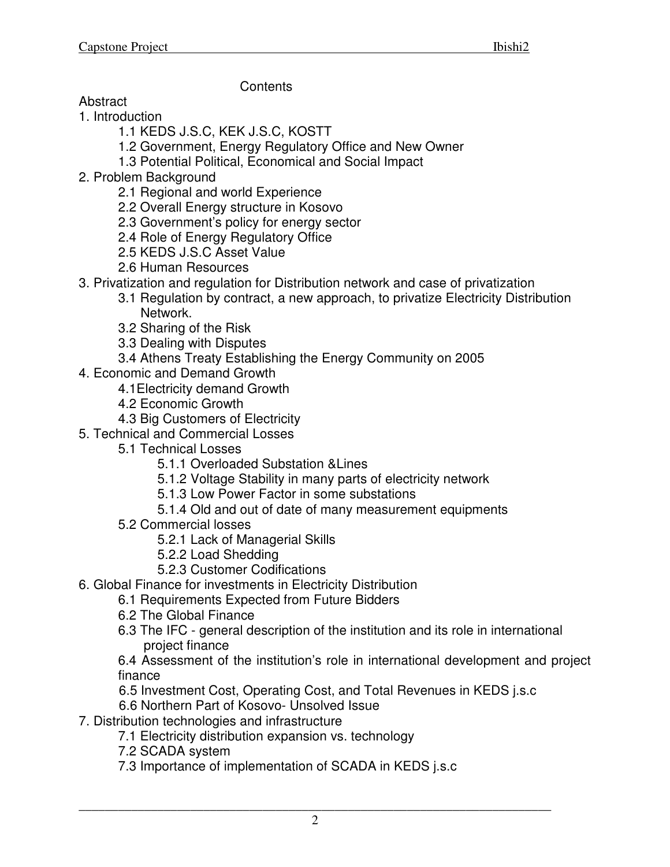**Contents** 

- **Abstract**
- 1. Introduction
	- 1.1 KEDS J.S.C, KEK J.S.C, KOSTT
	- 1.2 Government, Energy Regulatory Office and New Owner
	- 1.3 Potential Political, Economical and Social Impact
- 2. Problem Background
	- 2.1 Regional and world Experience
	- 2.2 Overall Energy structure in Kosovo
	- 2.3 Government's policy for energy sector
	- 2.4 Role of Energy Regulatory Office
	- 2.5 KEDS J.S.C Asset Value
	- 2.6 Human Resources
- 3. Privatization and regulation for Distribution network and case of privatization
	- 3.1 Regulation by contract, a new approach, to privatize Electricity Distribution Network.
	- 3.2 Sharing of the Risk
	- 3.3 Dealing with Disputes
	- 3.4 Athens Treaty Establishing the Energy Community on 2005
- 4. Economic and Demand Growth
	- 4.1Electricity demand Growth
	- 4.2 Economic Growth
	- 4.3 Big Customers of Electricity
- 5. Technical and Commercial Losses
	- 5.1 Technical Losses
		- 5.1.1 Overloaded Substation &Lines
		- 5.1.2 Voltage Stability in many parts of electricity network
		- 5.1.3 Low Power Factor in some substations
		- 5.1.4 Old and out of date of many measurement equipments
	- 5.2 Commercial losses
		- 5.2.1 Lack of Managerial Skills
		- 5.2.2 Load Shedding
		- 5.2.3 Customer Codifications
- 6. Global Finance for investments in Electricity Distribution
	- 6.1 Requirements Expected from Future Bidders
	- 6.2 The Global Finance
	- 6.3 The IFC general description of the institution and its role in international project finance

6.4 Assessment of the institution's role in international development and project finance

- 6.5 Investment Cost, Operating Cost, and Total Revenues in KEDS j.s.c
- 6.6 Northern Part of Kosovo- Unsolved Issue
- 7. Distribution technologies and infrastructure
	- 7.1 Electricity distribution expansion vs. technology
	- 7.2 SCADA system
	- 7.3 Importance of implementation of SCADA in KEDS j.s.c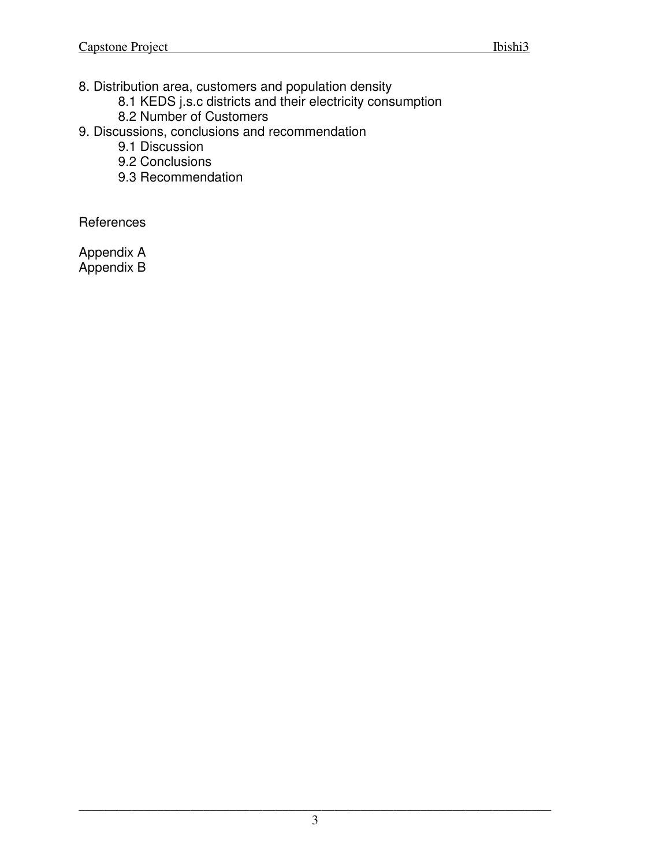8. Distribution area, customers and population density

- 8.1 KEDS j.s.c districts and their electricity consumption
- 8.2 Number of Customers
- 9. Discussions, conclusions and recommendation
	- 9.1 Discussion
	- 9.2 Conclusions
	- 9.3 Recommendation

**References** 

Appendix A Appendix B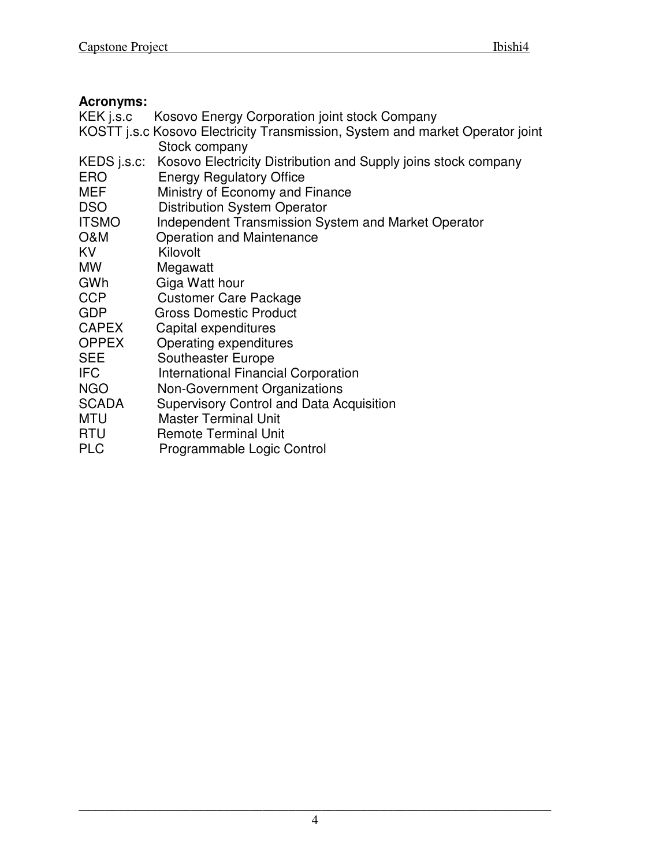## **Acronyms:**

| KEK j.s.c |  | Kosovo Energy Corporation joint stock Company |  |  |  |
|-----------|--|-----------------------------------------------|--|--|--|
|           |  |                                               |  |  |  |

- KOSTT j.s.c Kosovo Electricity Transmission, System and market Operator joint Stock company
- KEDS j.s.c: Kosovo Electricity Distribution and Supply joins stock company ERO Energy Regulatory Office
- MEF Ministry of Economy and Finance<br>DSO Distribution System Operator
- Distribution System Operator
- ITSMO Independent Transmission System and Market Operator
- O&M Operation and Maintenance
- KV Kilovolt
- MW Megawatt
- GWh Giga Watt hour<br>CCP Customer Care
- Customer Care Package
- GDP Gross Domestic Product
- CAPEX Capital expenditures
- OPPEX Operating expenditures<br>
SEE Southeaster Europe
- Southeaster Europe
- **IFC** International Financial Corporation
- NGO Non-Government Organizations
- SCADA Supervisory Control and Data Acquisition
- MTU Master Terminal Unit<br>RTU Remote Terminal Unit
- Remote Terminal Unit
- PLC Programmable Logic Control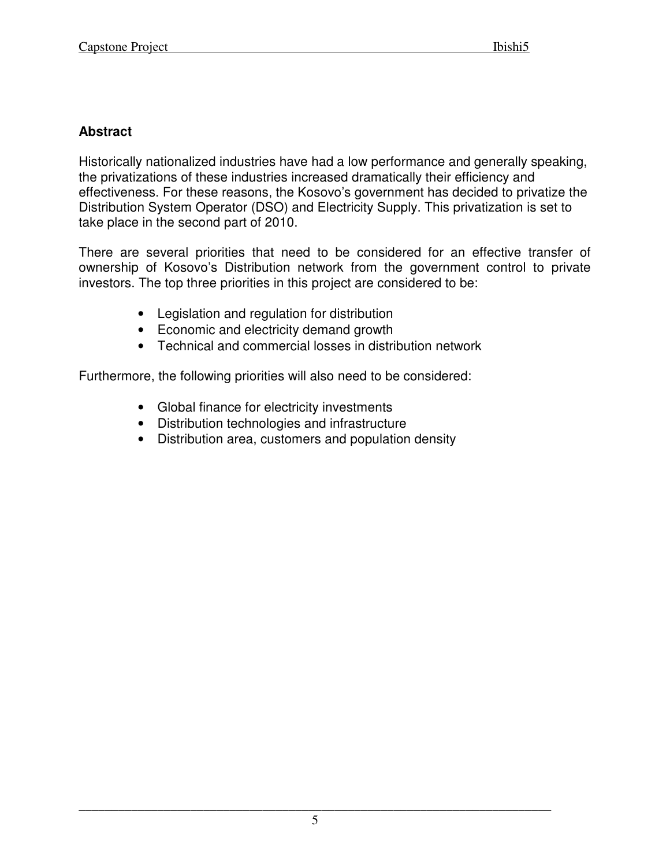## **Abstract**

Historically nationalized industries have had a low performance and generally speaking, the privatizations of these industries increased dramatically their efficiency and effectiveness. For these reasons, the Kosovo's government has decided to privatize the Distribution System Operator (DSO) and Electricity Supply. This privatization is set to take place in the second part of 2010.

There are several priorities that need to be considered for an effective transfer of ownership of Kosovo's Distribution network from the government control to private investors. The top three priorities in this project are considered to be:

- Legislation and regulation for distribution
- Economic and electricity demand growth
- Technical and commercial losses in distribution network

Furthermore, the following priorities will also need to be considered:

- Global finance for electricity investments
- Distribution technologies and infrastructure
- Distribution area, customers and population density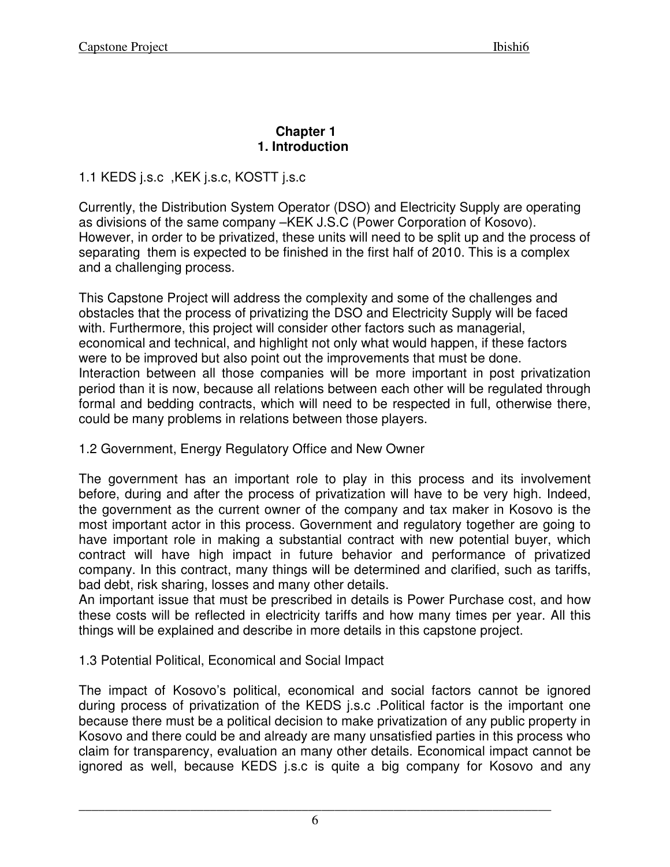#### **Chapter 1 1. Introduction**

## 1.1 KEDS j.s.c ,KEK j.s.c, KOSTT j.s.c

Currently, the Distribution System Operator (DSO) and Electricity Supply are operating as divisions of the same company –KEK J.S.C (Power Corporation of Kosovo). However, in order to be privatized, these units will need to be split up and the process of separating them is expected to be finished in the first half of 2010. This is a complex and a challenging process.

This Capstone Project will address the complexity and some of the challenges and obstacles that the process of privatizing the DSO and Electricity Supply will be faced with. Furthermore, this project will consider other factors such as managerial, economical and technical, and highlight not only what would happen, if these factors were to be improved but also point out the improvements that must be done. Interaction between all those companies will be more important in post privatization period than it is now, because all relations between each other will be regulated through formal and bedding contracts, which will need to be respected in full, otherwise there, could be many problems in relations between those players.

## 1.2 Government, Energy Regulatory Office and New Owner

The government has an important role to play in this process and its involvement before, during and after the process of privatization will have to be very high. Indeed, the government as the current owner of the company and tax maker in Kosovo is the most important actor in this process. Government and regulatory together are going to have important role in making a substantial contract with new potential buyer, which contract will have high impact in future behavior and performance of privatized company. In this contract, many things will be determined and clarified, such as tariffs, bad debt, risk sharing, losses and many other details.

An important issue that must be prescribed in details is Power Purchase cost, and how these costs will be reflected in electricity tariffs and how many times per year. All this things will be explained and describe in more details in this capstone project.

# 1.3 Potential Political, Economical and Social Impact

The impact of Kosovo's political, economical and social factors cannot be ignored during process of privatization of the KEDS j.s.c .Political factor is the important one because there must be a political decision to make privatization of any public property in Kosovo and there could be and already are many unsatisfied parties in this process who claim for transparency, evaluation an many other details. Economical impact cannot be ignored as well, because KEDS j.s.c is quite a big company for Kosovo and any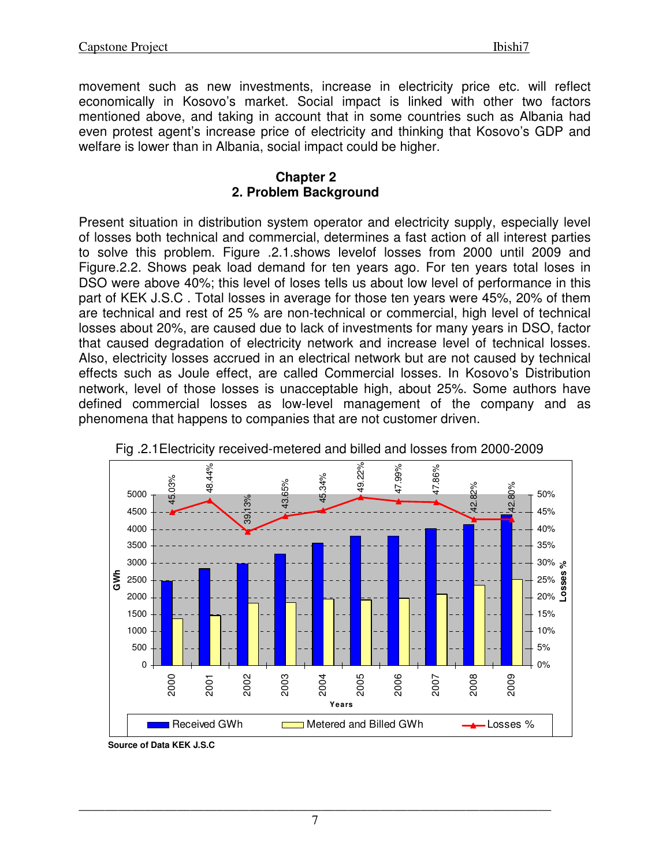movement such as new investments, increase in electricity price etc. will reflect economically in Kosovo's market. Social impact is linked with other two factors mentioned above, and taking in account that in some countries such as Albania had even protest agent's increase price of electricity and thinking that Kosovo's GDP and welfare is lower than in Albania, social impact could be higher.

#### **Chapter 2 2. Problem Background**

Present situation in distribution system operator and electricity supply, especially level of losses both technical and commercial, determines a fast action of all interest parties to solve this problem. Figure .2.1.shows levelof losses from 2000 until 2009 and Figure.2.2. Shows peak load demand for ten years ago. For ten years total loses in DSO were above 40%; this level of loses tells us about low level of performance in this part of KEK J.S.C . Total losses in average for those ten years were 45%, 20% of them are technical and rest of 25 % are non-technical or commercial, high level of technical losses about 20%, are caused due to lack of investments for many years in DSO, factor that caused degradation of electricity network and increase level of technical losses. Also, electricity losses accrued in an electrical network but are not caused by technical effects such as Joule effect, are called Commercial losses. In Kosovo's Distribution network, level of those losses is unacceptable high, about 25%. Some authors have defined commercial losses as low-level management of the company and as phenomena that happens to companies that are not customer driven.





**Source of Data KEK J.S.C**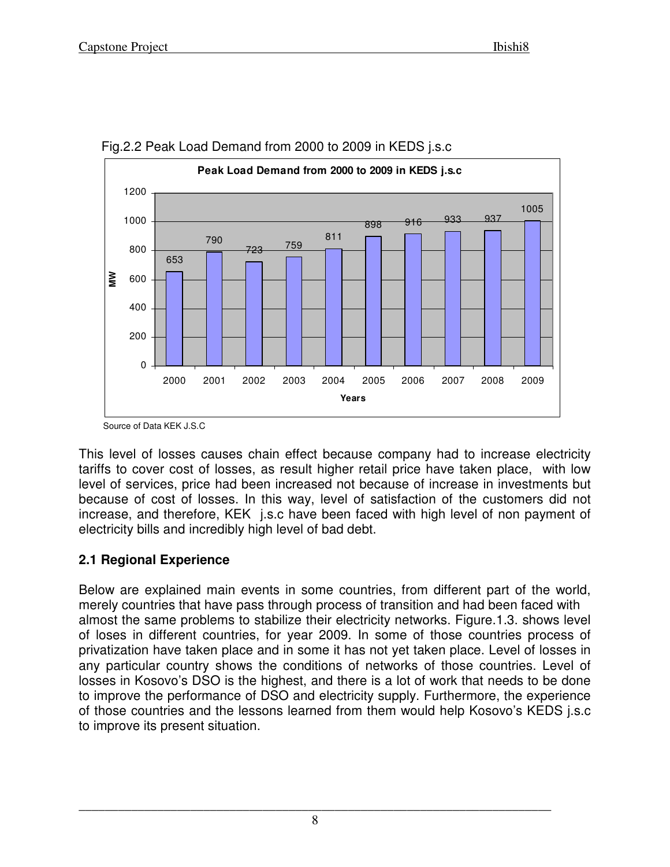



This level of losses causes chain effect because company had to increase electricity tariffs to cover cost of losses, as result higher retail price have taken place, with low level of services, price had been increased not because of increase in investments but because of cost of losses. In this way, level of satisfaction of the customers did not increase, and therefore, KEK j.s.c have been faced with high level of non payment of electricity bills and incredibly high level of bad debt.

## **2.1 Regional Experience**

Below are explained main events in some countries, from different part of the world, merely countries that have pass through process of transition and had been faced with almost the same problems to stabilize their electricity networks. Figure.1.3. shows level of loses in different countries, for year 2009. In some of those countries process of privatization have taken place and in some it has not yet taken place. Level of losses in any particular country shows the conditions of networks of those countries. Level of losses in Kosovo's DSO is the highest, and there is a lot of work that needs to be done to improve the performance of DSO and electricity supply. Furthermore, the experience of those countries and the lessons learned from them would help Kosovo's KEDS j.s.c to improve its present situation.

Source of Data KEK J.S.C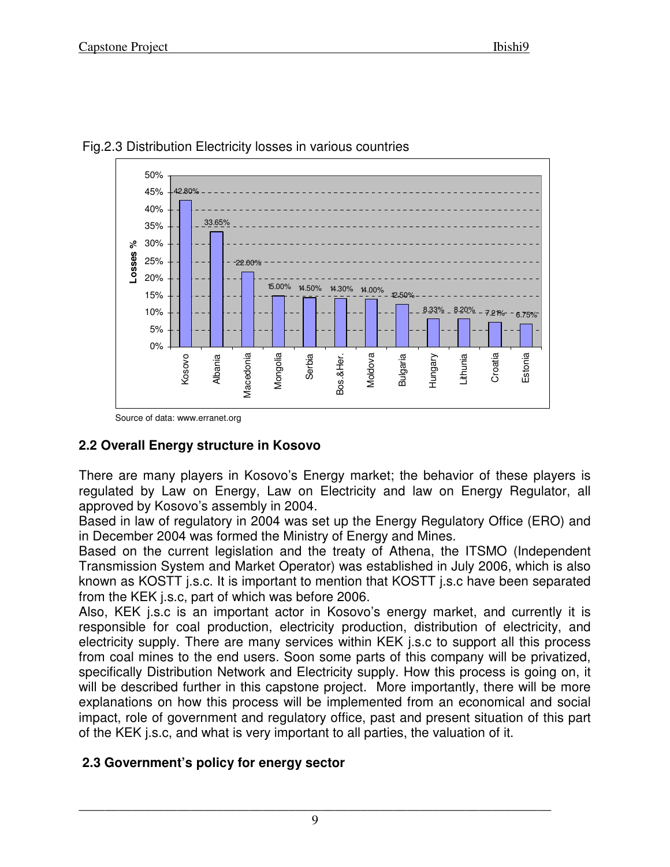



Source of data: www.erranet.org

# **2.2 Overall Energy structure in Kosovo**

There are many players in Kosovo's Energy market; the behavior of these players is regulated by Law on Energy, Law on Electricity and law on Energy Regulator, all approved by Kosovo's assembly in 2004.

Based in law of regulatory in 2004 was set up the Energy Regulatory Office (ERO) and in December 2004 was formed the Ministry of Energy and Mines.

Based on the current legislation and the treaty of Athena, the ITSMO (Independent Transmission System and Market Operator) was established in July 2006, which is also known as KOSTT j.s.c. It is important to mention that KOSTT j.s.c have been separated from the KEK j.s.c, part of which was before 2006.

Also, KEK j.s.c is an important actor in Kosovo's energy market, and currently it is responsible for coal production, electricity production, distribution of electricity, and electricity supply. There are many services within KEK j.s.c to support all this process from coal mines to the end users. Soon some parts of this company will be privatized, specifically Distribution Network and Electricity supply. How this process is going on, it will be described further in this capstone project. More importantly, there will be more explanations on how this process will be implemented from an economical and social impact, role of government and regulatory office, past and present situation of this part of the KEK j.s.c, and what is very important to all parties, the valuation of it.

# **2.3 Government's policy for energy sector**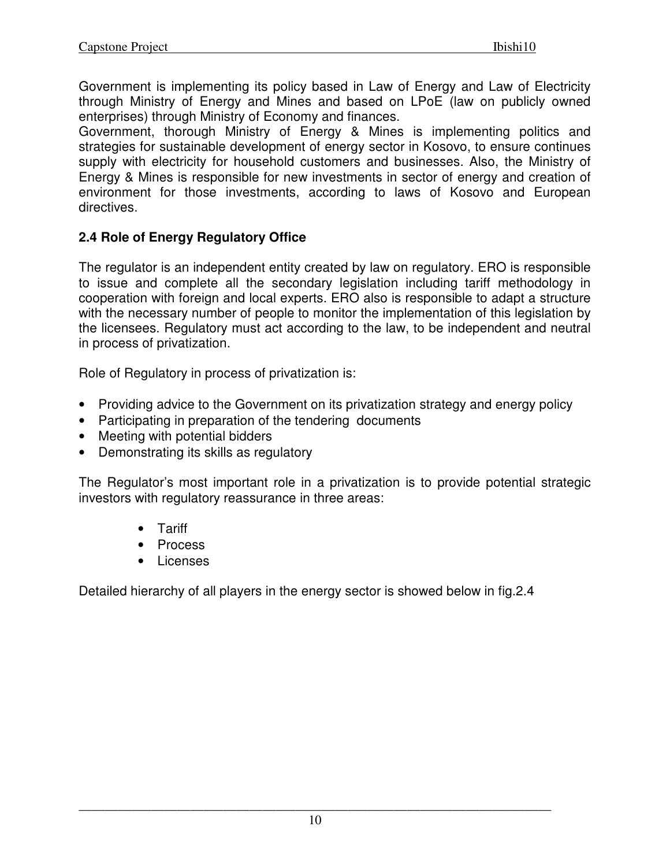Government is implementing its policy based in Law of Energy and Law of Electricity through Ministry of Energy and Mines and based on LPoE (law on publicly owned enterprises) through Ministry of Economy and finances.

Government, thorough Ministry of Energy & Mines is implementing politics and strategies for sustainable development of energy sector in Kosovo, to ensure continues supply with electricity for household customers and businesses. Also, the Ministry of Energy & Mines is responsible for new investments in sector of energy and creation of environment for those investments, according to laws of Kosovo and European directives.

# **2.4 Role of Energy Regulatory Office**

The regulator is an independent entity created by law on regulatory. ERO is responsible to issue and complete all the secondary legislation including tariff methodology in cooperation with foreign and local experts. ERO also is responsible to adapt a structure with the necessary number of people to monitor the implementation of this legislation by the licensees. Regulatory must act according to the law, to be independent and neutral in process of privatization.

Role of Regulatory in process of privatization is:

- Providing advice to the Government on its privatization strategy and energy policy
- Participating in preparation of the tendering documents
- Meeting with potential bidders
- Demonstrating its skills as regulatory

The Regulator's most important role in a privatization is to provide potential strategic investors with regulatory reassurance in three areas:

- Tariff
- Process
- Licenses

Detailed hierarchy of all players in the energy sector is showed below in fig.2.4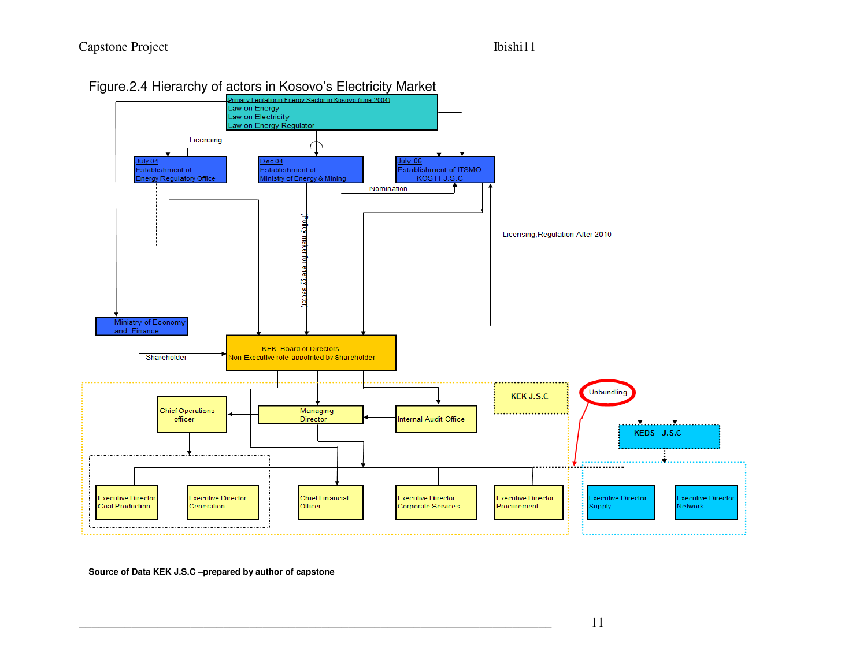

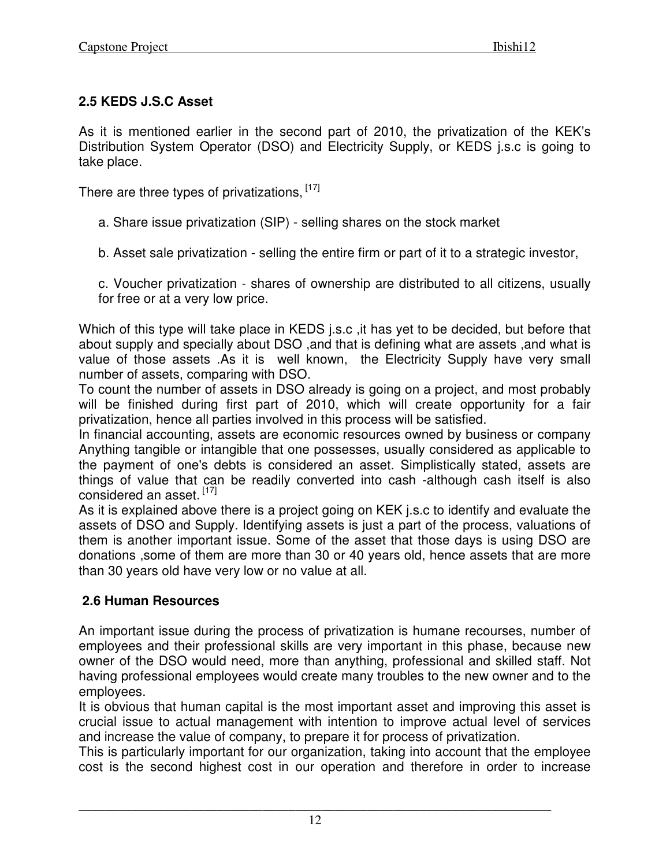# **2.5 KEDS J.S.C Asset**

As it is mentioned earlier in the second part of 2010, the privatization of the KEK's Distribution System Operator (DSO) and Electricity Supply, or KEDS j.s.c is going to take place.

There are three types of privatizations, [17]

a. Share issue privatization (SIP) - selling shares on the stock market

b. Asset sale privatization - selling the entire firm or part of it to a strategic investor,

c. Voucher privatization - shares of ownership are distributed to all citizens, usually for free or at a very low price.

Which of this type will take place in KEDS j.s.c ,it has yet to be decided, but before that about supply and specially about DSO ,and that is defining what are assets ,and what is value of those assets .As it is well known, the Electricity Supply have very small number of assets, comparing with DSO.

To count the number of assets in DSO already is going on a project, and most probably will be finished during first part of 2010, which will create opportunity for a fair privatization, hence all parties involved in this process will be satisfied.

In financial accounting, assets are economic resources owned by business or company Anything tangible or intangible that one possesses, usually considered as applicable to the payment of one's debts is considered an asset. Simplistically stated, assets are things of value that can be readily converted into cash -although cash itself is also considered an asset.<sup>[17]</sup>

As it is explained above there is a project going on KEK j.s.c to identify and evaluate the assets of DSO and Supply. Identifying assets is just a part of the process, valuations of them is another important issue. Some of the asset that those days is using DSO are donations ,some of them are more than 30 or 40 years old, hence assets that are more than 30 years old have very low or no value at all.

# **2.6 Human Resources**

An important issue during the process of privatization is humane recourses, number of employees and their professional skills are very important in this phase, because new owner of the DSO would need, more than anything, professional and skilled staff. Not having professional employees would create many troubles to the new owner and to the employees.

It is obvious that human capital is the most important asset and improving this asset is crucial issue to actual management with intention to improve actual level of services and increase the value of company, to prepare it for process of privatization.

This is particularly important for our organization, taking into account that the employee cost is the second highest cost in our operation and therefore in order to increase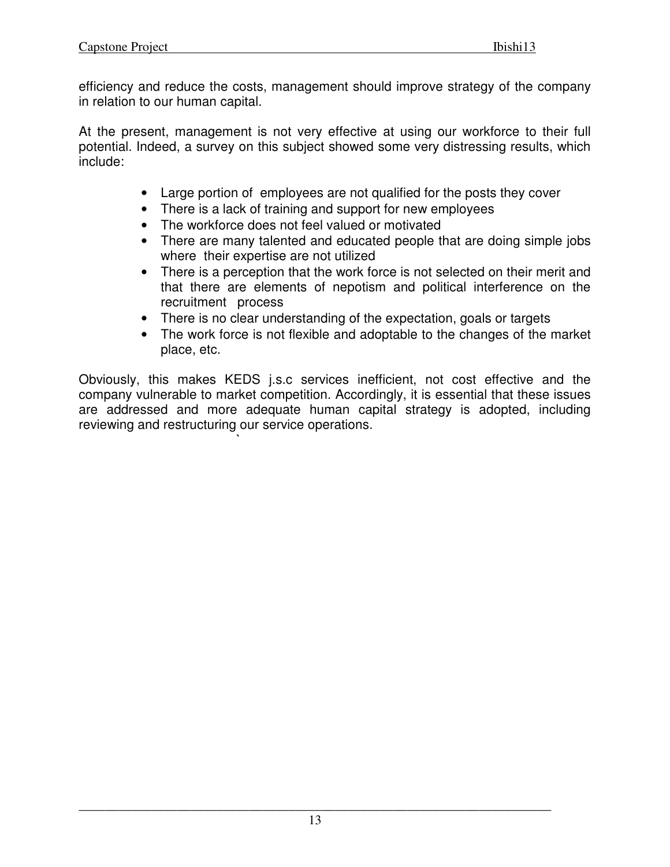efficiency and reduce the costs, management should improve strategy of the company in relation to our human capital.

At the present, management is not very effective at using our workforce to their full potential. Indeed, a survey on this subject showed some very distressing results, which include:

- Large portion of employees are not qualified for the posts they cover
- There is a lack of training and support for new employees
- The workforce does not feel valued or motivated

**`** 

- There are many talented and educated people that are doing simple jobs where their expertise are not utilized
- There is a perception that the work force is not selected on their merit and that there are elements of nepotism and political interference on the recruitment process
- There is no clear understanding of the expectation, goals or targets
- The work force is not flexible and adoptable to the changes of the market place, etc.

Obviously, this makes KEDS j.s.c services inefficient, not cost effective and the company vulnerable to market competition. Accordingly, it is essential that these issues are addressed and more adequate human capital strategy is adopted, including reviewing and restructuring our service operations.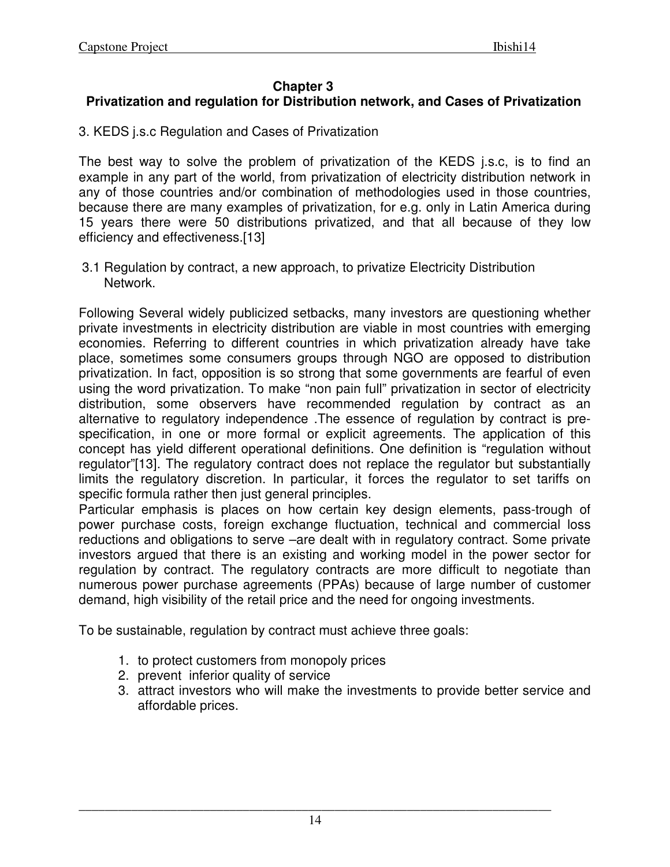#### **Chapter 3**

# **Privatization and regulation for Distribution network, and Cases of Privatization**

3. KEDS j.s.c Regulation and Cases of Privatization

The best way to solve the problem of privatization of the KEDS j.s.c, is to find an example in any part of the world, from privatization of electricity distribution network in any of those countries and/or combination of methodologies used in those countries, because there are many examples of privatization, for e.g. only in Latin America during 15 years there were 50 distributions privatized, and that all because of they low efficiency and effectiveness.[13]

3.1 Regulation by contract, a new approach, to privatize Electricity Distribution Network.

Following Several widely publicized setbacks, many investors are questioning whether private investments in electricity distribution are viable in most countries with emerging economies. Referring to different countries in which privatization already have take place, sometimes some consumers groups through NGO are opposed to distribution privatization. In fact, opposition is so strong that some governments are fearful of even using the word privatization. To make "non pain full" privatization in sector of electricity distribution, some observers have recommended regulation by contract as an alternative to regulatory independence .The essence of regulation by contract is prespecification, in one or more formal or explicit agreements. The application of this concept has yield different operational definitions. One definition is "regulation without regulator"[13]. The regulatory contract does not replace the regulator but substantially limits the regulatory discretion. In particular, it forces the regulator to set tariffs on specific formula rather then just general principles.

Particular emphasis is places on how certain key design elements, pass-trough of power purchase costs, foreign exchange fluctuation, technical and commercial loss reductions and obligations to serve –are dealt with in regulatory contract. Some private investors argued that there is an existing and working model in the power sector for regulation by contract. The regulatory contracts are more difficult to negotiate than numerous power purchase agreements (PPAs) because of large number of customer demand, high visibility of the retail price and the need for ongoing investments.

To be sustainable, regulation by contract must achieve three goals:

- 1. to protect customers from monopoly prices
- 2. prevent inferior quality of service
- 3. attract investors who will make the investments to provide better service and affordable prices.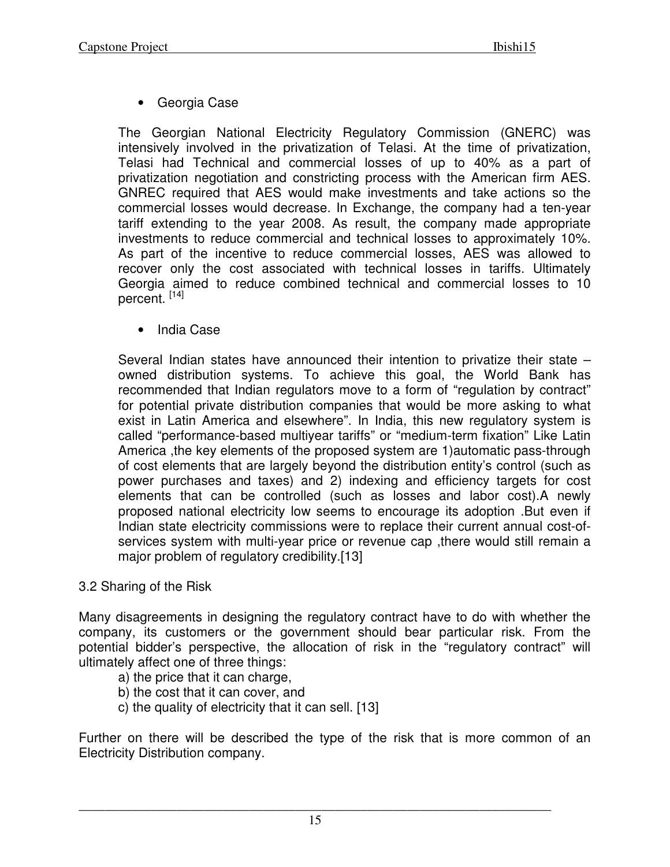• Georgia Case

The Georgian National Electricity Regulatory Commission (GNERC) was intensively involved in the privatization of Telasi. At the time of privatization, Telasi had Technical and commercial losses of up to 40% as a part of privatization negotiation and constricting process with the American firm AES. GNREC required that AES would make investments and take actions so the commercial losses would decrease. In Exchange, the company had a ten-year tariff extending to the year 2008. As result, the company made appropriate investments to reduce commercial and technical losses to approximately 10%. As part of the incentive to reduce commercial losses, AES was allowed to recover only the cost associated with technical losses in tariffs. Ultimately Georgia aimed to reduce combined technical and commercial losses to 10 percent. [14]

• India Case

Several Indian states have announced their intention to privatize their state – owned distribution systems. To achieve this goal, the World Bank has recommended that Indian regulators move to a form of "regulation by contract" for potential private distribution companies that would be more asking to what exist in Latin America and elsewhere". In India, this new regulatory system is called "performance-based multiyear tariffs" or "medium-term fixation" Like Latin America ,the key elements of the proposed system are 1)automatic pass-through of cost elements that are largely beyond the distribution entity's control (such as power purchases and taxes) and 2) indexing and efficiency targets for cost elements that can be controlled (such as losses and labor cost).A newly proposed national electricity low seems to encourage its adoption .But even if Indian state electricity commissions were to replace their current annual cost-ofservices system with multi-year price or revenue cap ,there would still remain a major problem of regulatory credibility.[13]

## 3.2 Sharing of the Risk

Many disagreements in designing the regulatory contract have to do with whether the company, its customers or the government should bear particular risk. From the potential bidder's perspective, the allocation of risk in the "regulatory contract" will ultimately affect one of three things:

- a) the price that it can charge,
- b) the cost that it can cover, and
- c) the quality of electricity that it can sell. [13]

Further on there will be described the type of the risk that is more common of an Electricity Distribution company.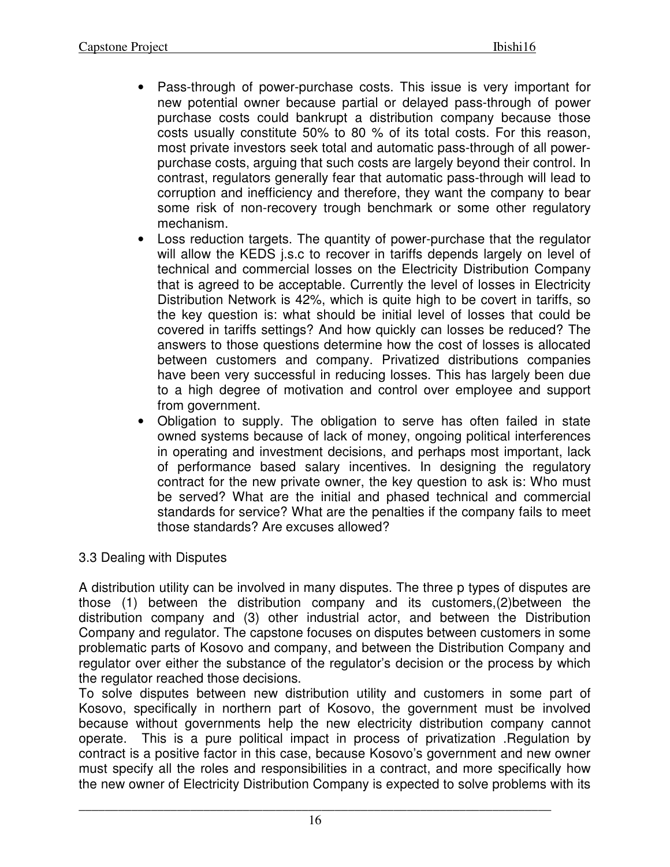- Pass-through of power-purchase costs. This issue is very important for new potential owner because partial or delayed pass-through of power purchase costs could bankrupt a distribution company because those costs usually constitute 50% to 80 % of its total costs. For this reason, most private investors seek total and automatic pass-through of all powerpurchase costs, arguing that such costs are largely beyond their control. In contrast, regulators generally fear that automatic pass-through will lead to corruption and inefficiency and therefore, they want the company to bear some risk of non-recovery trough benchmark or some other regulatory mechanism.
- Loss reduction targets. The quantity of power-purchase that the regulator will allow the KEDS j.s.c to recover in tariffs depends largely on level of technical and commercial losses on the Electricity Distribution Company that is agreed to be acceptable. Currently the level of losses in Electricity Distribution Network is 42%, which is quite high to be covert in tariffs, so the key question is: what should be initial level of losses that could be covered in tariffs settings? And how quickly can losses be reduced? The answers to those questions determine how the cost of losses is allocated between customers and company. Privatized distributions companies have been very successful in reducing losses. This has largely been due to a high degree of motivation and control over employee and support from government.
- Obligation to supply. The obligation to serve has often failed in state owned systems because of lack of money, ongoing political interferences in operating and investment decisions, and perhaps most important, lack of performance based salary incentives. In designing the regulatory contract for the new private owner, the key question to ask is: Who must be served? What are the initial and phased technical and commercial standards for service? What are the penalties if the company fails to meet those standards? Are excuses allowed?

## 3.3 Dealing with Disputes

A distribution utility can be involved in many disputes. The three p types of disputes are those (1) between the distribution company and its customers,(2)between the distribution company and (3) other industrial actor, and between the Distribution Company and regulator. The capstone focuses on disputes between customers in some problematic parts of Kosovo and company, and between the Distribution Company and regulator over either the substance of the regulator's decision or the process by which the regulator reached those decisions.

To solve disputes between new distribution utility and customers in some part of Kosovo, specifically in northern part of Kosovo, the government must be involved because without governments help the new electricity distribution company cannot operate. This is a pure political impact in process of privatization .Regulation by contract is a positive factor in this case, because Kosovo's government and new owner must specify all the roles and responsibilities in a contract, and more specifically how the new owner of Electricity Distribution Company is expected to solve problems with its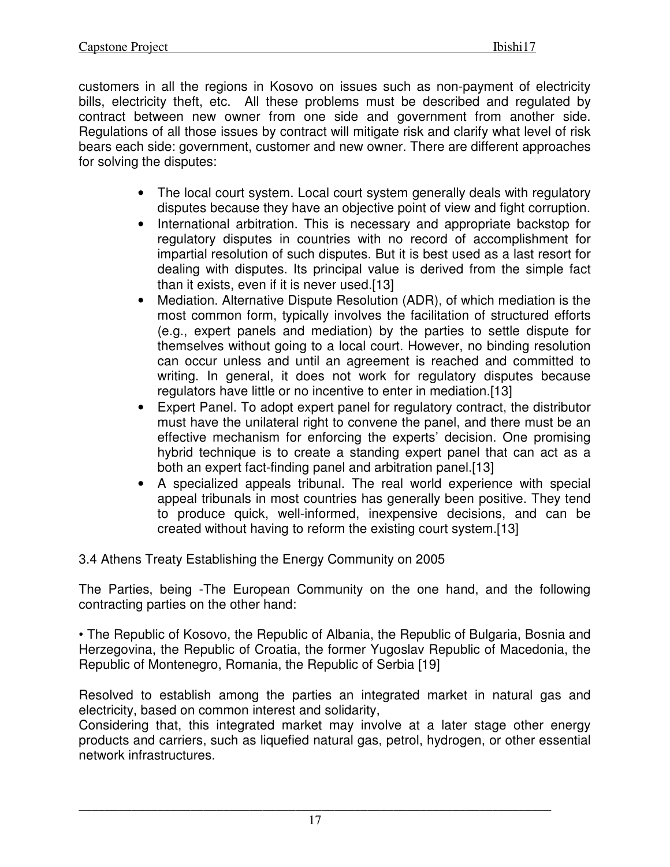customers in all the regions in Kosovo on issues such as non-payment of electricity bills, electricity theft, etc. All these problems must be described and regulated by contract between new owner from one side and government from another side. Regulations of all those issues by contract will mitigate risk and clarify what level of risk bears each side: government, customer and new owner. There are different approaches for solving the disputes:

- The local court system. Local court system generally deals with regulatory disputes because they have an objective point of view and fight corruption.
- International arbitration. This is necessary and appropriate backstop for regulatory disputes in countries with no record of accomplishment for impartial resolution of such disputes. But it is best used as a last resort for dealing with disputes. Its principal value is derived from the simple fact than it exists, even if it is never used.[13]
- Mediation. Alternative Dispute Resolution (ADR), of which mediation is the most common form, typically involves the facilitation of structured efforts (e.g., expert panels and mediation) by the parties to settle dispute for themselves without going to a local court. However, no binding resolution can occur unless and until an agreement is reached and committed to writing. In general, it does not work for regulatory disputes because regulators have little or no incentive to enter in mediation.[13]
- Expert Panel. To adopt expert panel for regulatory contract, the distributor must have the unilateral right to convene the panel, and there must be an effective mechanism for enforcing the experts' decision. One promising hybrid technique is to create a standing expert panel that can act as a both an expert fact-finding panel and arbitration panel.[13]
- A specialized appeals tribunal. The real world experience with special appeal tribunals in most countries has generally been positive. They tend to produce quick, well-informed, inexpensive decisions, and can be created without having to reform the existing court system.[13]

3.4 Athens Treaty Establishing the Energy Community on 2005

The Parties, being -The European Community on the one hand, and the following contracting parties on the other hand:

• The Republic of Kosovo, the Republic of Albania, the Republic of Bulgaria, Bosnia and Herzegovina, the Republic of Croatia, the former Yugoslav Republic of Macedonia, the Republic of Montenegro, Romania, the Republic of Serbia [19]

Resolved to establish among the parties an integrated market in natural gas and electricity, based on common interest and solidarity,

Considering that, this integrated market may involve at a later stage other energy products and carriers, such as liquefied natural gas, petrol, hydrogen, or other essential network infrastructures.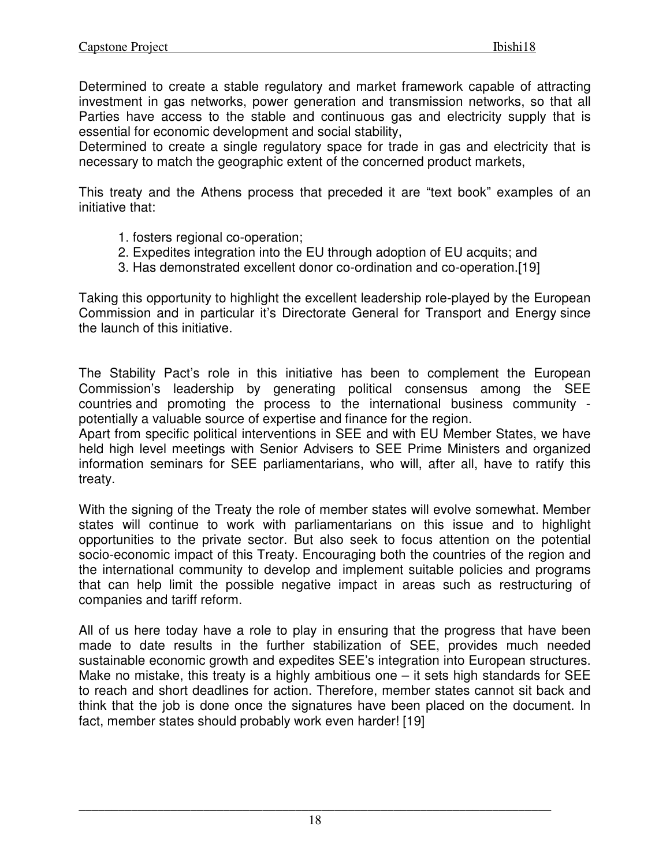Determined to create a stable regulatory and market framework capable of attracting investment in gas networks, power generation and transmission networks, so that all Parties have access to the stable and continuous gas and electricity supply that is essential for economic development and social stability,

Determined to create a single regulatory space for trade in gas and electricity that is necessary to match the geographic extent of the concerned product markets,

This treaty and the Athens process that preceded it are "text book" examples of an initiative that:

- 1. fosters regional co-operation;
- 2. Expedites integration into the EU through adoption of EU acquits; and
- 3. Has demonstrated excellent donor co-ordination and co-operation.[19]

Taking this opportunity to highlight the excellent leadership role-played by the European Commission and in particular it's Directorate General for Transport and Energy since the launch of this initiative.

The Stability Pact's role in this initiative has been to complement the European Commission's leadership by generating political consensus among the SEE countries and promoting the process to the international business community potentially a valuable source of expertise and finance for the region.

Apart from specific political interventions in SEE and with EU Member States, we have held high level meetings with Senior Advisers to SEE Prime Ministers and organized information seminars for SEE parliamentarians, who will, after all, have to ratify this treaty.

With the signing of the Treaty the role of member states will evolve somewhat. Member states will continue to work with parliamentarians on this issue and to highlight opportunities to the private sector. But also seek to focus attention on the potential socio-economic impact of this Treaty. Encouraging both the countries of the region and the international community to develop and implement suitable policies and programs that can help limit the possible negative impact in areas such as restructuring of companies and tariff reform.

All of us here today have a role to play in ensuring that the progress that have been made to date results in the further stabilization of SEE, provides much needed sustainable economic growth and expedites SEE's integration into European structures. Make no mistake, this treaty is a highly ambitious one  $-$  it sets high standards for SEE to reach and short deadlines for action. Therefore, member states cannot sit back and think that the job is done once the signatures have been placed on the document. In fact, member states should probably work even harder! [19]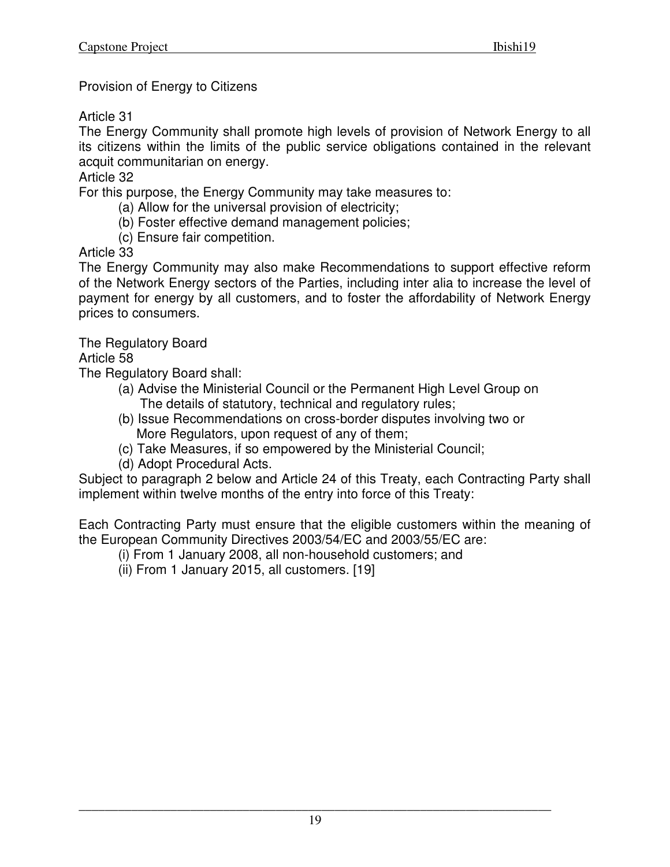Provision of Energy to Citizens

Article 31

The Energy Community shall promote high levels of provision of Network Energy to all its citizens within the limits of the public service obligations contained in the relevant acquit communitarian on energy.

Article 32

For this purpose, the Energy Community may take measures to:

- (a) Allow for the universal provision of electricity;
- (b) Foster effective demand management policies;
- (c) Ensure fair competition.

Article 33

The Energy Community may also make Recommendations to support effective reform of the Network Energy sectors of the Parties, including inter alia to increase the level of payment for energy by all customers, and to foster the affordability of Network Energy prices to consumers.

The Regulatory Board

Article 58

The Regulatory Board shall:

- (a) Advise the Ministerial Council or the Permanent High Level Group on The details of statutory, technical and regulatory rules;
- (b) Issue Recommendations on cross-border disputes involving two or More Regulators, upon request of any of them;
- (c) Take Measures, if so empowered by the Ministerial Council;
- (d) Adopt Procedural Acts.

Subject to paragraph 2 below and Article 24 of this Treaty, each Contracting Party shall implement within twelve months of the entry into force of this Treaty:

Each Contracting Party must ensure that the eligible customers within the meaning of the European Community Directives 2003/54/EC and 2003/55/EC are:

(i) From 1 January 2008, all non-household customers; and

(ii) From 1 January 2015, all customers. [19]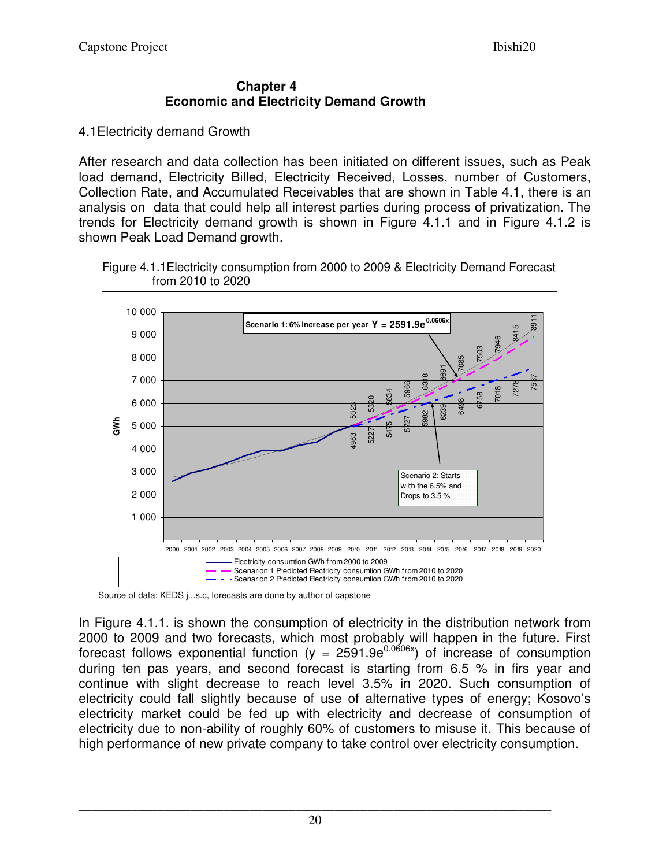#### **Chapter 4 Economic and Electricity Demand Growth**

4.1Electricity demand Growth

After research and data collection has been initiated on different issues, such as Peak load demand, Electricity Billed, Electricity Received, Losses, number of Customers, Collection Rate, and Accumulated Receivables that are shown in Table 4.1, there is an analysis on data that could help all interest parties during process of privatization. The trends for Electricity demand growth is shown in Figure 4.1.1 and in Figure 4.1.2 is shown Peak Load Demand growth.



 Figure 4.1.1Electricity consumption from 2000 to 2009 & Electricity Demand Forecast from 2010 to 2020

Source of data: KEDS j...s.c, forecasts are done by author of capstone

In Figure 4.1.1. is shown the consumption of electricity in the distribution network from 2000 to 2009 and two forecasts, which most probably will happen in the future. First forecast follows exponential function (y =  $2591.9e^{0.0606x}$ ) of increase of consumption during ten pas years, and second forecast is starting from 6.5 % in firs year and continue with slight decrease to reach level 3.5% in 2020. Such consumption of electricity could fall slightly because of use of alternative types of energy; Kosovo's electricity market could be fed up with electricity and decrease of consumption of electricity due to non-ability of roughly 60% of customers to misuse it. This because of high performance of new private company to take control over electricity consumption.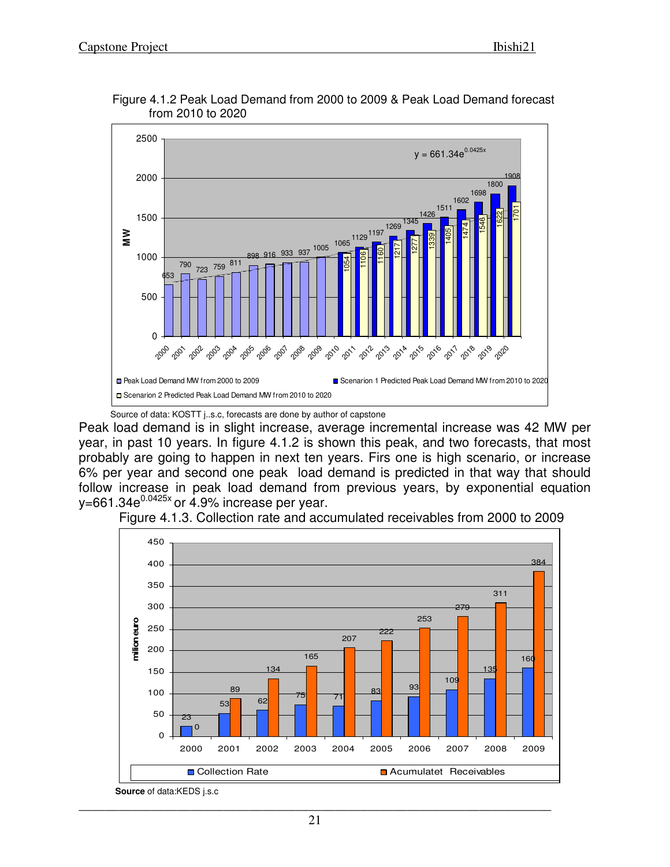

 Figure 4.1.2 Peak Load Demand from 2000 to 2009 & Peak Load Demand forecast from 2010 to 2020

Source of data: KOSTT j..s.c, forecasts are done by author of capstone

Peak load demand is in slight increase, average incremental increase was 42 MW per year, in past 10 years. In figure 4.1.2 is shown this peak, and two forecasts, that most probably are going to happen in next ten years. Firs one is high scenario, or increase 6% per year and second one peak load demand is predicted in that way that should follow increase in peak load demand from previous years, by exponential equation  $v=661.34e^{0.0425x}$  or 4.9% increase per year.



Figure 4.1.3. Collection rate and accumulated receivables from 2000 to 2009

**Source** of data:KEDS j.s.c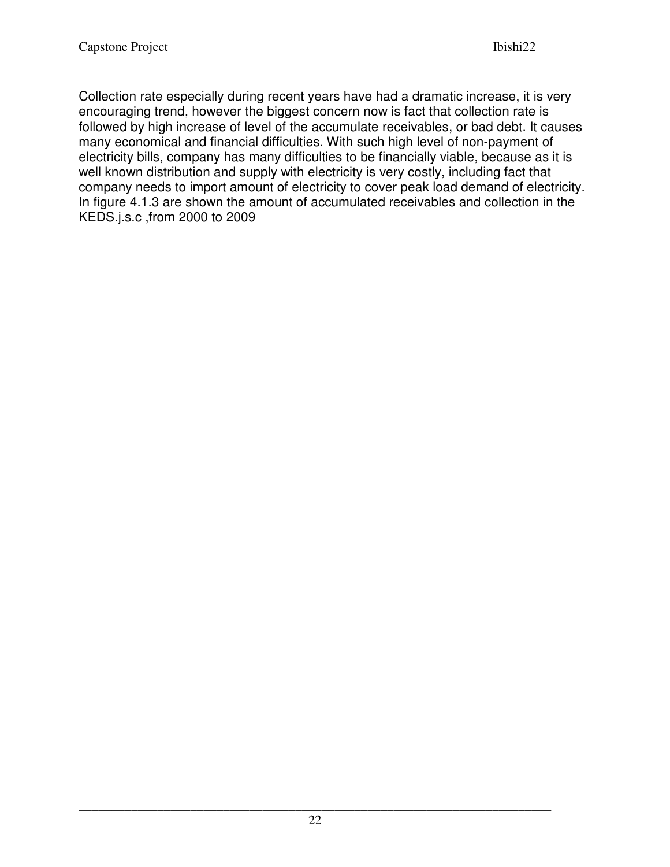Collection rate especially during recent years have had a dramatic increase, it is very encouraging trend, however the biggest concern now is fact that collection rate is followed by high increase of level of the accumulate receivables, or bad debt. It causes many economical and financial difficulties. With such high level of non-payment of electricity bills, company has many difficulties to be financially viable, because as it is well known distribution and supply with electricity is very costly, including fact that company needs to import amount of electricity to cover peak load demand of electricity. In figure 4.1.3 are shown the amount of accumulated receivables and collection in the KEDS.j.s.c ,from 2000 to 2009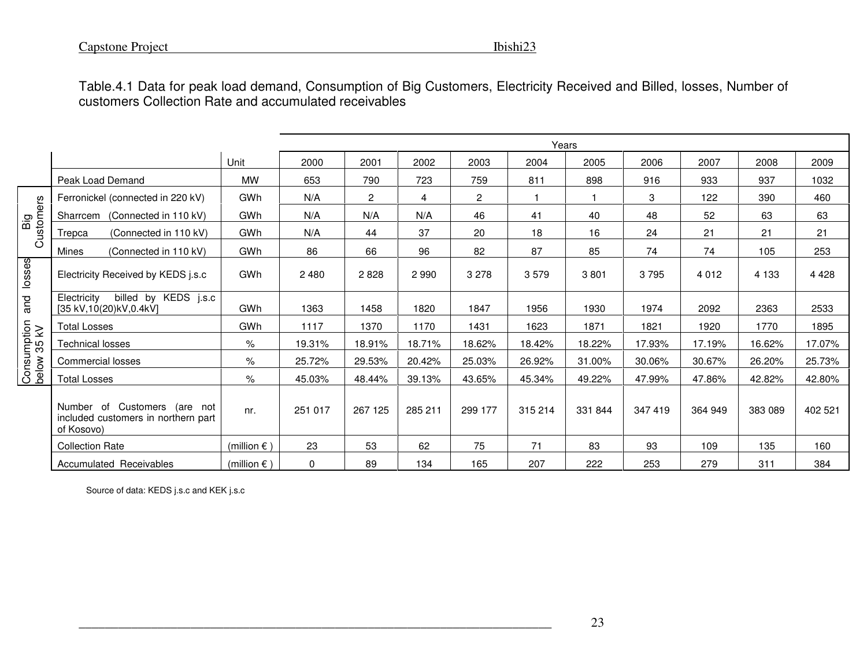|                            | Table.4.1 Data for peak load demand, Consumption of Big Customers, Electricity Received and Billed, losses, Number of<br>customers Collection Rate and accumulated receivables |                       |             |              |                |              |              |              |         |         |         |         |
|----------------------------|--------------------------------------------------------------------------------------------------------------------------------------------------------------------------------|-----------------------|-------------|--------------|----------------|--------------|--------------|--------------|---------|---------|---------|---------|
|                            |                                                                                                                                                                                |                       |             |              |                |              | Years        |              |         |         |         |         |
|                            |                                                                                                                                                                                | Unit                  | 2000        | 2001         | 2002           | 2003         | 2004         | 2005         | 2006    | 2007    | 2008    | 2009    |
|                            | Peak Load Demand                                                                                                                                                               | MW                    | 653         | 790          | 723            | 759          | 811          | 898          | 916     | 933     | 937     | 1032    |
|                            | Ferronickel (connected in 220 kV)                                                                                                                                              | GWh                   | N/A         | $\mathbf{2}$ | $\overline{4}$ | $\mathbf{2}$ | $\mathbf{1}$ | $\mathbf{1}$ | 3       | 122     | 390     | 460     |
|                            | Sharrcem (Connected in 110 kV)                                                                                                                                                 | GWh                   | N/A         | N/A          | N/A            | 46           | 41           | 40           | 48      | 52      | 63      | 63      |
| Big<br>Customers           | (Connected in 110 kV)<br>Trepca                                                                                                                                                | GWh                   | N/A         | 44           | 37             | 20           | 18           | 16           | 24      | 21      | 21      | 21      |
|                            | Mines<br>(Connected in 110 kV)                                                                                                                                                 | GWh                   | 86          | 66           | 96             | 82           | 87           | 85           | 74      | 74      | 105     | 253     |
| and losses                 | Electricity Received by KEDS j.s.c                                                                                                                                             | GWh                   | 2 4 8 0     | 2828         | 2 9 9 0        | 3 2 7 8      | 3579         | 3801         | 3795    | 4 0 1 2 | 4 1 3 3 | 4 4 2 8 |
|                            | billed by KEDS j.s.c<br>Electricity<br>[35 kV,10(20)kV,0.4kV]                                                                                                                  | GWh                   | 1363        | 1458         | 1820           | 1847         | 1956         | 1930         | 1974    | 2092    | 2363    | 2533    |
|                            | <b>Total Losses</b>                                                                                                                                                            | GWh                   | 1117        | 1370         | 1170           | 1431         | 1623         | 1871         | 1821    | 1920    | 1770    | 1895    |
| Consumption<br>below 35 kV | <b>Technical losses</b>                                                                                                                                                        | $\%$                  | 19.31%      | 18.91%       | 18.71%         | 18.62%       | 18.42%       | 18.22%       | 17.93%  | 17.19%  | 16.62%  | 17.07%  |
|                            | Commercial losses                                                                                                                                                              | $\%$                  | 25.72%      | 29.53%       | 20.42%         | 25.03%       | 26.92%       | 31.00%       | 30.06%  | 30.67%  | 26.20%  | 25.73%  |
|                            | <b>Total Losses</b>                                                                                                                                                            | $\%$                  | 45.03%      | 48.44%       | 39.13%         | 43.65%       | 45.34%       | 49.22%       | 47.99%  | 47.86%  | 42.82%  | 42.80%  |
|                            | Number of Customers (are not<br>included customers in northern part<br>of Kosovo)                                                                                              | nr.                   | 251 017     | 267 125      | 285 211        | 299 177      | 315 214      | 331 844      | 347 419 | 364 949 | 383 089 | 402 521 |
|                            | <b>Collection Rate</b>                                                                                                                                                         | (million $\epsilon$ ) | 23          | 53           | 62             | 75           | 71           | 83           | 93      | 109     | 135     | 160     |
|                            | Accumulated Receivables                                                                                                                                                        | (million $\epsilon$ ) | $\mathbf 0$ | 89           | 134            | 165          | 207          | 222          | 253     | 279     | 311     | 384     |
|                            | Source of data: KEDS j.s.c and KEK j.s.c                                                                                                                                       |                       |             |              |                |              |              |              |         |         |         |         |
|                            |                                                                                                                                                                                |                       |             |              |                |              |              | 23           |         |         |         |         |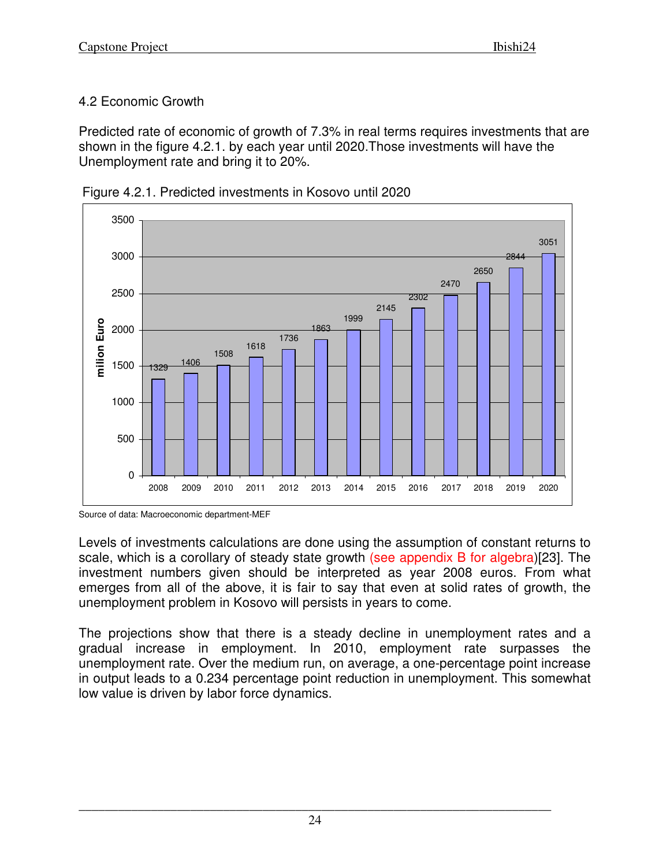# 4.2 Economic Growth

Predicted rate of economic of growth of 7.3% in real terms requires investments that are shown in the figure 4.2.1. by each year until 2020.Those investments will have the Unemployment rate and bring it to 20%.





Levels of investments calculations are done using the assumption of constant returns to scale, which is a corollary of steady state growth (see appendix B for algebra)[23]. The investment numbers given should be interpreted as year 2008 euros. From what emerges from all of the above, it is fair to say that even at solid rates of growth, the unemployment problem in Kosovo will persists in years to come.

The projections show that there is a steady decline in unemployment rates and a gradual increase in employment. In 2010, employment rate surpasses the unemployment rate. Over the medium run, on average, a one-percentage point increase in output leads to a 0.234 percentage point reduction in unemployment. This somewhat low value is driven by labor force dynamics.

Source of data: Macroeconomic department-MEF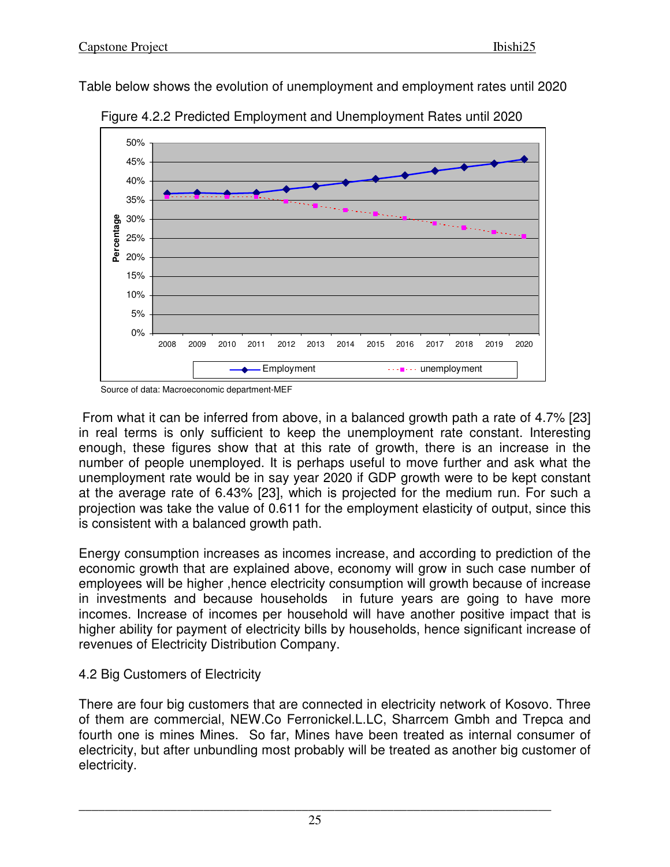Table below shows the evolution of unemployment and employment rates until 2020



Figure 4.2.2 Predicted Employment and Unemployment Rates until 2020

Source of data: Macroeconomic department-MEF

 From what it can be inferred from above, in a balanced growth path a rate of 4.7% [23] in real terms is only sufficient to keep the unemployment rate constant. Interesting enough, these figures show that at this rate of growth, there is an increase in the number of people unemployed. It is perhaps useful to move further and ask what the unemployment rate would be in say year 2020 if GDP growth were to be kept constant at the average rate of 6.43% [23], which is projected for the medium run. For such a projection was take the value of 0.611 for the employment elasticity of output, since this is consistent with a balanced growth path.

Energy consumption increases as incomes increase, and according to prediction of the economic growth that are explained above, economy will grow in such case number of employees will be higher ,hence electricity consumption will growth because of increase in investments and because households in future years are going to have more incomes. Increase of incomes per household will have another positive impact that is higher ability for payment of electricity bills by households, hence significant increase of revenues of Electricity Distribution Company.

## 4.2 Big Customers of Electricity

There are four big customers that are connected in electricity network of Kosovo. Three of them are commercial, NEW.Co Ferronickel.L.LC, Sharrcem Gmbh and Trepca and fourth one is mines Mines. So far, Mines have been treated as internal consumer of electricity, but after unbundling most probably will be treated as another big customer of electricity.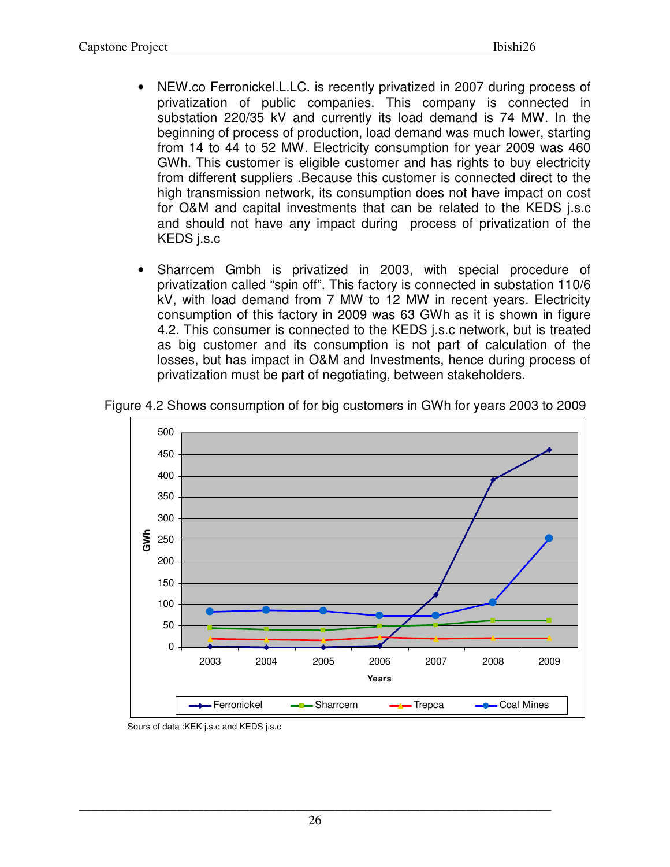- NEW.co Ferronickel.L.LC. is recently privatized in 2007 during process of privatization of public companies. This company is connected in substation 220/35 kV and currently its load demand is 74 MW. In the beginning of process of production, load demand was much lower, starting from 14 to 44 to 52 MW. Electricity consumption for year 2009 was 460 GWh. This customer is eligible customer and has rights to buy electricity from different suppliers .Because this customer is connected direct to the high transmission network, its consumption does not have impact on cost for O&M and capital investments that can be related to the KEDS j.s.c and should not have any impact during process of privatization of the KEDS j.s.c
- Sharrcem Gmbh is privatized in 2003, with special procedure of privatization called "spin off". This factory is connected in substation 110/6 kV, with load demand from 7 MW to 12 MW in recent years. Electricity consumption of this factory in 2009 was 63 GWh as it is shown in figure 4.2. This consumer is connected to the KEDS j.s.c network, but is treated as big customer and its consumption is not part of calculation of the losses, but has impact in O&M and Investments, hence during process of privatization must be part of negotiating, between stakeholders.



Figure 4.2 Shows consumption of for big customers in GWh for years 2003 to 2009

Sours of data :KEK j.s.c and KEDS j.s.c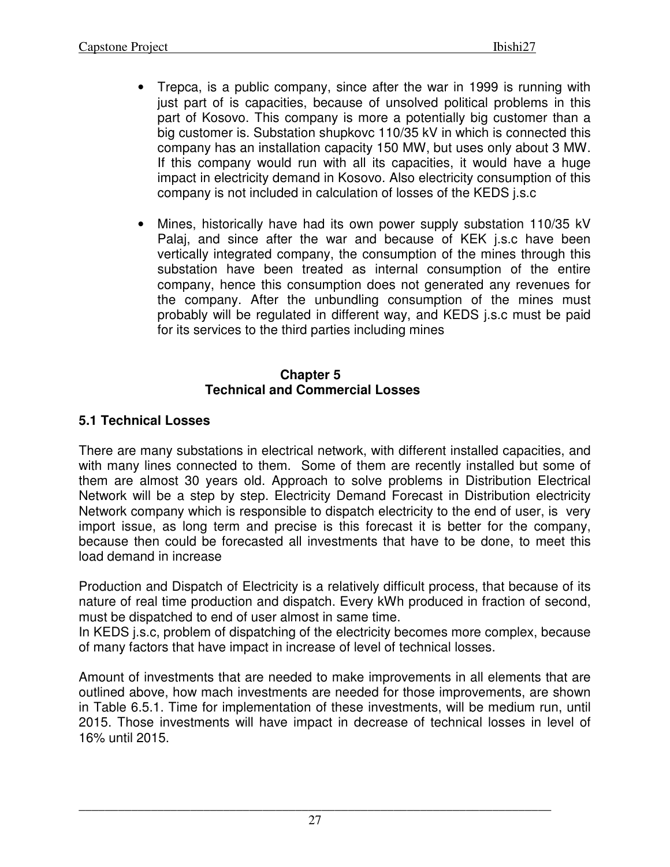- Trepca, is a public company, since after the war in 1999 is running with just part of is capacities, because of unsolved political problems in this part of Kosovo. This company is more a potentially big customer than a big customer is. Substation shupkovc 110/35 kV in which is connected this company has an installation capacity 150 MW, but uses only about 3 MW. If this company would run with all its capacities, it would have a huge impact in electricity demand in Kosovo. Also electricity consumption of this company is not included in calculation of losses of the KEDS j.s.c
- Mines, historically have had its own power supply substation 110/35 kV Palaj, and since after the war and because of KEK j.s.c have been vertically integrated company, the consumption of the mines through this substation have been treated as internal consumption of the entire company, hence this consumption does not generated any revenues for the company. After the unbundling consumption of the mines must probably will be regulated in different way, and KEDS j.s.c must be paid for its services to the third parties including mines

## **Chapter 5 Technical and Commercial Losses**

# **5.1 Technical Losses**

There are many substations in electrical network, with different installed capacities, and with many lines connected to them. Some of them are recently installed but some of them are almost 30 years old. Approach to solve problems in Distribution Electrical Network will be a step by step. Electricity Demand Forecast in Distribution electricity Network company which is responsible to dispatch electricity to the end of user, is very import issue, as long term and precise is this forecast it is better for the company, because then could be forecasted all investments that have to be done, to meet this load demand in increase

Production and Dispatch of Electricity is a relatively difficult process, that because of its nature of real time production and dispatch. Every kWh produced in fraction of second, must be dispatched to end of user almost in same time.

In KEDS j.s.c, problem of dispatching of the electricity becomes more complex, because of many factors that have impact in increase of level of technical losses.

Amount of investments that are needed to make improvements in all elements that are outlined above, how mach investments are needed for those improvements, are shown in Table 6.5.1. Time for implementation of these investments, will be medium run, until 2015. Those investments will have impact in decrease of technical losses in level of 16% until 2015.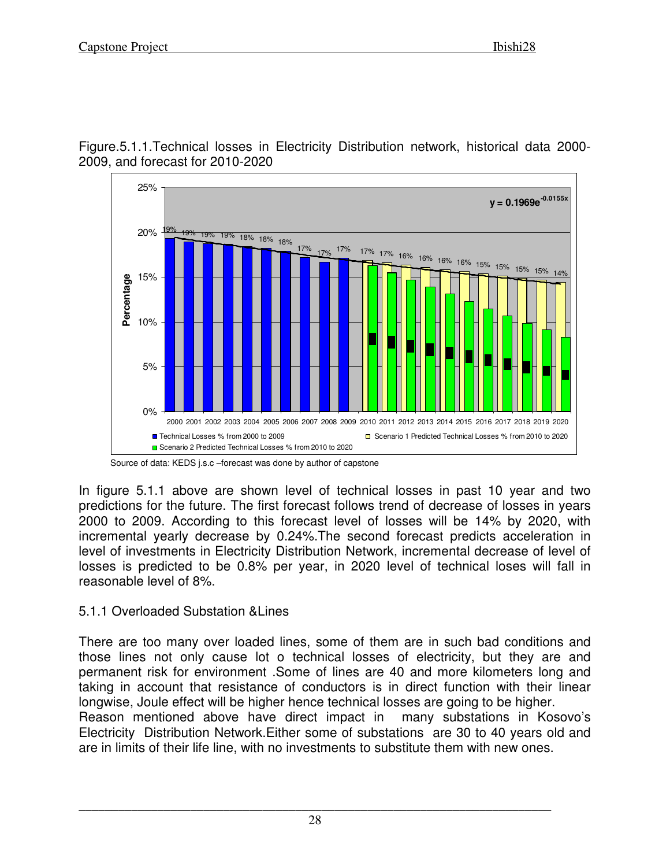Figure.5.1.1.Technical losses in Electricity Distribution network, historical data 2000- 2009, and forecast for 2010-2020



Source of data: KEDS j.s.c –forecast was done by author of capstone

In figure 5.1.1 above are shown level of technical losses in past 10 year and two predictions for the future. The first forecast follows trend of decrease of losses in years 2000 to 2009. According to this forecast level of losses will be 14% by 2020, with incremental yearly decrease by 0.24%.The second forecast predicts acceleration in level of investments in Electricity Distribution Network, incremental decrease of level of losses is predicted to be 0.8% per year, in 2020 level of technical loses will fall in reasonable level of 8%.

## 5.1.1 Overloaded Substation &Lines

There are too many over loaded lines, some of them are in such bad conditions and those lines not only cause lot o technical losses of electricity, but they are and permanent risk for environment .Some of lines are 40 and more kilometers long and taking in account that resistance of conductors is in direct function with their linear longwise, Joule effect will be higher hence technical losses are going to be higher. Reason mentioned above have direct impact in many substations in Kosovo's Electricity Distribution Network.Either some of substations are 30 to 40 years old and are in limits of their life line, with no investments to substitute them with new ones.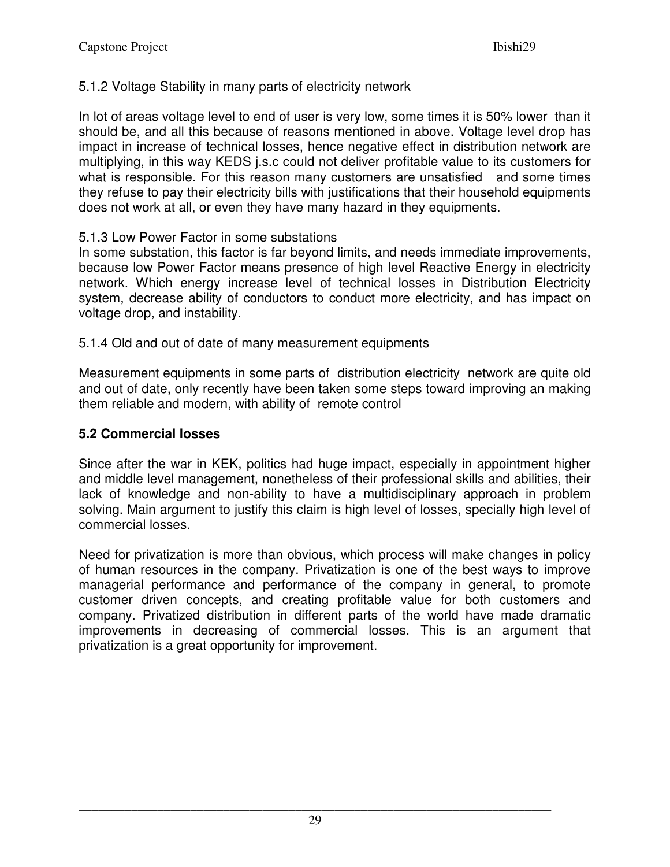5.1.2 Voltage Stability in many parts of electricity network

In lot of areas voltage level to end of user is very low, some times it is 50% lower than it should be, and all this because of reasons mentioned in above. Voltage level drop has impact in increase of technical losses, hence negative effect in distribution network are multiplying, in this way KEDS j.s.c could not deliver profitable value to its customers for what is responsible. For this reason many customers are unsatisfied and some times they refuse to pay their electricity bills with justifications that their household equipments does not work at all, or even they have many hazard in they equipments.

#### 5.1.3 Low Power Factor in some substations

In some substation, this factor is far beyond limits, and needs immediate improvements, because low Power Factor means presence of high level Reactive Energy in electricity network. Which energy increase level of technical losses in Distribution Electricity system, decrease ability of conductors to conduct more electricity, and has impact on voltage drop, and instability.

5.1.4 Old and out of date of many measurement equipments

Measurement equipments in some parts of distribution electricity network are quite old and out of date, only recently have been taken some steps toward improving an making them reliable and modern, with ability of remote control

## **5.2 Commercial losses**

Since after the war in KEK, politics had huge impact, especially in appointment higher and middle level management, nonetheless of their professional skills and abilities, their lack of knowledge and non-ability to have a multidisciplinary approach in problem solving. Main argument to justify this claim is high level of losses, specially high level of commercial losses.

Need for privatization is more than obvious, which process will make changes in policy of human resources in the company. Privatization is one of the best ways to improve managerial performance and performance of the company in general, to promote customer driven concepts, and creating profitable value for both customers and company. Privatized distribution in different parts of the world have made dramatic improvements in decreasing of commercial losses. This is an argument that privatization is a great opportunity for improvement.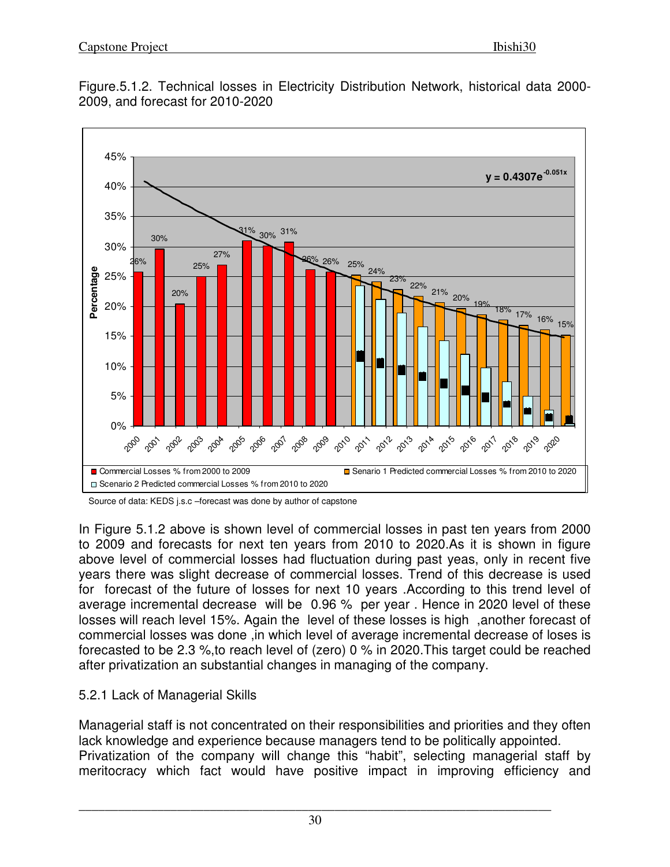

Figure.5.1.2. Technical losses in Electricity Distribution Network, historical data 2000- 2009, and forecast for 2010-2020

In Figure 5.1.2 above is shown level of commercial losses in past ten years from 2000 to 2009 and forecasts for next ten years from 2010 to 2020.As it is shown in figure above level of commercial losses had fluctuation during past yeas, only in recent five years there was slight decrease of commercial losses. Trend of this decrease is used for forecast of the future of losses for next 10 years .According to this trend level of average incremental decrease will be 0.96 % per year . Hence in 2020 level of these losses will reach level 15%. Again the level of these losses is high ,another forecast of commercial losses was done ,in which level of average incremental decrease of loses is forecasted to be 2.3 %,to reach level of (zero) 0 % in 2020.This target could be reached after privatization an substantial changes in managing of the company.

## 5.2.1 Lack of Managerial Skills

Managerial staff is not concentrated on their responsibilities and priorities and they often lack knowledge and experience because managers tend to be politically appointed. Privatization of the company will change this "habit", selecting managerial staff by meritocracy which fact would have positive impact in improving efficiency and

Source of data: KEDS j.s.c –forecast was done by author of capstone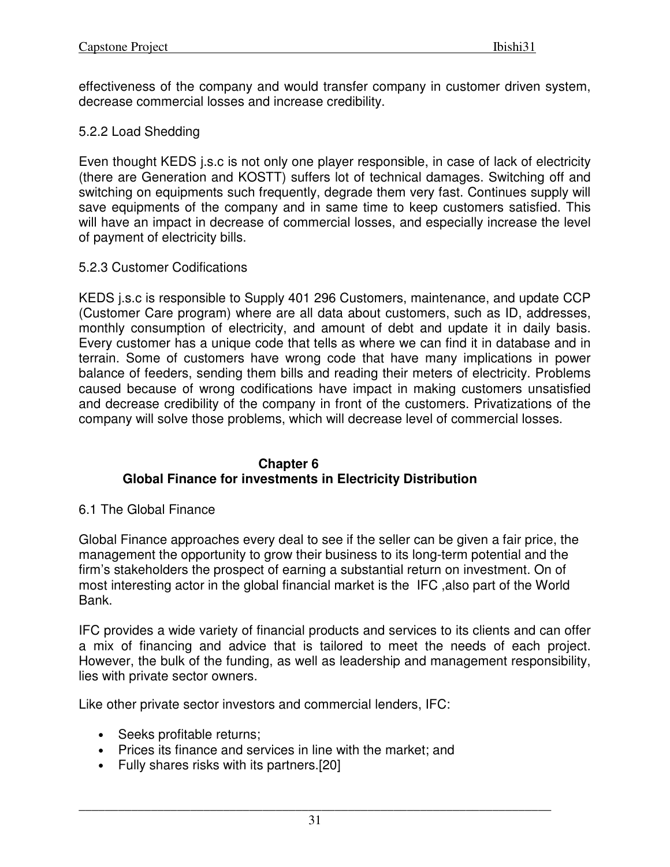effectiveness of the company and would transfer company in customer driven system, decrease commercial losses and increase credibility.

#### 5.2.2 Load Shedding

Even thought KEDS j.s.c is not only one player responsible, in case of lack of electricity (there are Generation and KOSTT) suffers lot of technical damages. Switching off and switching on equipments such frequently, degrade them very fast. Continues supply will save equipments of the company and in same time to keep customers satisfied. This will have an impact in decrease of commercial losses, and especially increase the level of payment of electricity bills.

#### 5.2.3 Customer Codifications

KEDS j.s.c is responsible to Supply 401 296 Customers, maintenance, and update CCP (Customer Care program) where are all data about customers, such as ID, addresses, monthly consumption of electricity, and amount of debt and update it in daily basis. Every customer has a unique code that tells as where we can find it in database and in terrain. Some of customers have wrong code that have many implications in power balance of feeders, sending them bills and reading their meters of electricity. Problems caused because of wrong codifications have impact in making customers unsatisfied and decrease credibility of the company in front of the customers. Privatizations of the company will solve those problems, which will decrease level of commercial losses.

#### **Chapter 6 Global Finance for investments in Electricity Distribution**

#### 6.1 The Global Finance

Global Finance approaches every deal to see if the seller can be given a fair price, the management the opportunity to grow their business to its long-term potential and the firm's stakeholders the prospect of earning a substantial return on investment. On of most interesting actor in the global financial market is the IFC ,also part of the World Bank.

IFC provides a wide variety of financial products and services to its clients and can offer a mix of financing and advice that is tailored to meet the needs of each project. However, the bulk of the funding, as well as leadership and management responsibility, lies with private sector owners.

Like other private sector investors and commercial lenders, IFC:

- Seeks profitable returns;
- Prices its finance and services in line with the market; and
- Fully shares risks with its partners.[20]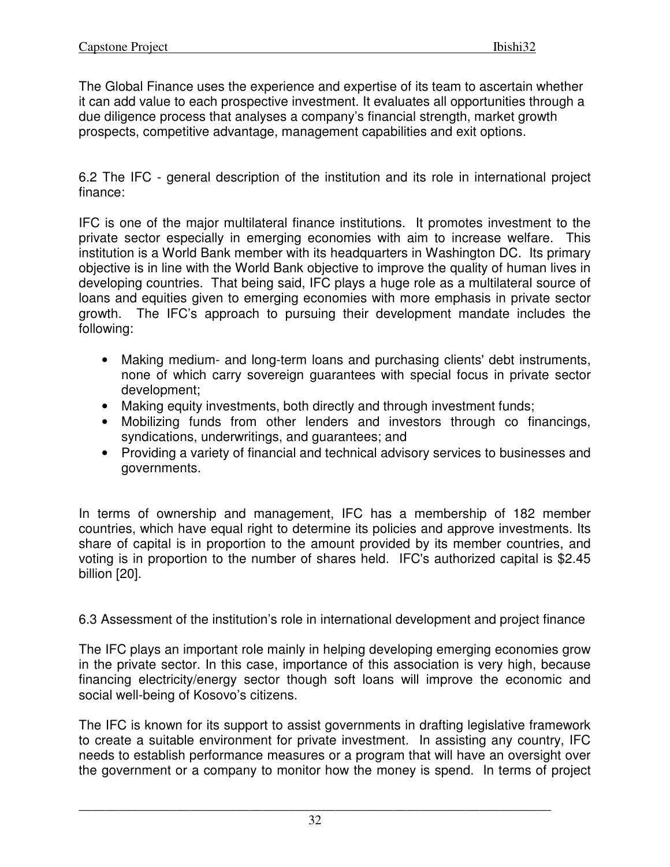The Global Finance uses the experience and expertise of its team to ascertain whether it can add value to each prospective investment. It evaluates all opportunities through a due diligence process that analyses a company's financial strength, market growth prospects, competitive advantage, management capabilities and exit options.

6.2 The IFC - general description of the institution and its role in international project finance:

IFC is one of the major multilateral finance institutions. It promotes investment to the private sector especially in emerging economies with aim to increase welfare. This institution is a World Bank member with its headquarters in Washington DC. Its primary objective is in line with the World Bank objective to improve the quality of human lives in developing countries. That being said, IFC plays a huge role as a multilateral source of loans and equities given to emerging economies with more emphasis in private sector growth. The IFC's approach to pursuing their development mandate includes the following:

- Making medium- and long-term loans and purchasing clients' debt instruments, none of which carry sovereign guarantees with special focus in private sector development;
- Making equity investments, both directly and through investment funds;
- Mobilizing funds from other lenders and investors through co financings, syndications, underwritings, and guarantees; and
- Providing a variety of financial and technical advisory services to businesses and governments.

In terms of ownership and management, IFC has a membership of 182 member countries, which have equal right to determine its policies and approve investments. Its share of capital is in proportion to the amount provided by its member countries, and voting is in proportion to the number of shares held. IFC's authorized capital is \$2.45 billion [20].

6.3 Assessment of the institution's role in international development and project finance

The IFC plays an important role mainly in helping developing emerging economies grow in the private sector. In this case, importance of this association is very high, because financing electricity/energy sector though soft loans will improve the economic and social well-being of Kosovo's citizens.

The IFC is known for its support to assist governments in drafting legislative framework to create a suitable environment for private investment. In assisting any country, IFC needs to establish performance measures or a program that will have an oversight over the government or a company to monitor how the money is spend. In terms of project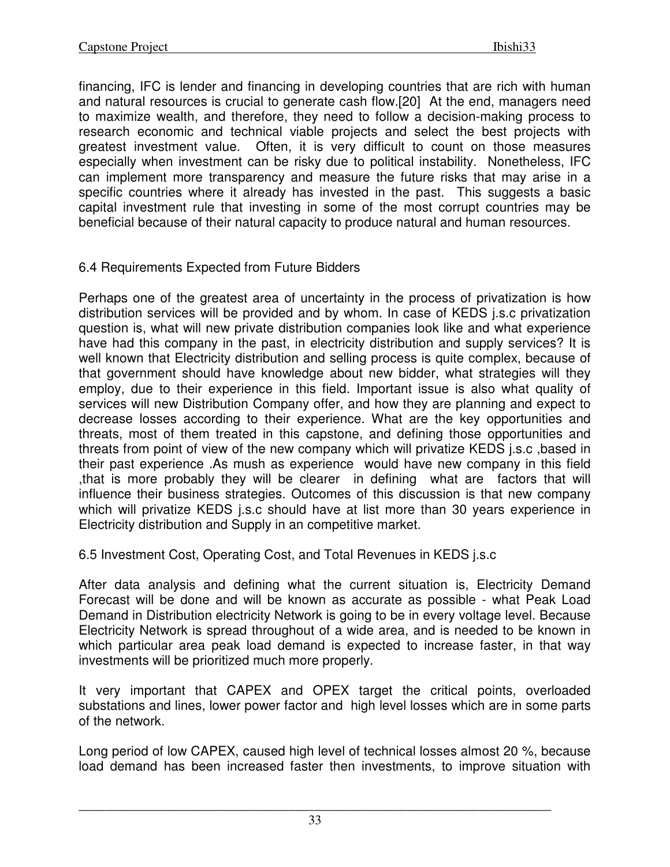financing, IFC is lender and financing in developing countries that are rich with human and natural resources is crucial to generate cash flow.[20] At the end, managers need to maximize wealth, and therefore, they need to follow a decision-making process to research economic and technical viable projects and select the best projects with greatest investment value. Often, it is very difficult to count on those measures especially when investment can be risky due to political instability. Nonetheless, IFC can implement more transparency and measure the future risks that may arise in a specific countries where it already has invested in the past. This suggests a basic capital investment rule that investing in some of the most corrupt countries may be beneficial because of their natural capacity to produce natural and human resources.

## 6.4 Requirements Expected from Future Bidders

Perhaps one of the greatest area of uncertainty in the process of privatization is how distribution services will be provided and by whom. In case of KEDS j.s.c privatization question is, what will new private distribution companies look like and what experience have had this company in the past, in electricity distribution and supply services? It is well known that Electricity distribution and selling process is quite complex, because of that government should have knowledge about new bidder, what strategies will they employ, due to their experience in this field. Important issue is also what quality of services will new Distribution Company offer, and how they are planning and expect to decrease losses according to their experience. What are the key opportunities and threats, most of them treated in this capstone, and defining those opportunities and threats from point of view of the new company which will privatize KEDS j.s.c ,based in their past experience .As mush as experience would have new company in this field ,that is more probably they will be clearer in defining what are factors that will influence their business strategies. Outcomes of this discussion is that new company which will privatize KEDS j.s.c should have at list more than 30 years experience in Electricity distribution and Supply in an competitive market.

6.5 Investment Cost, Operating Cost, and Total Revenues in KEDS j.s.c

After data analysis and defining what the current situation is, Electricity Demand Forecast will be done and will be known as accurate as possible - what Peak Load Demand in Distribution electricity Network is going to be in every voltage level. Because Electricity Network is spread throughout of a wide area, and is needed to be known in which particular area peak load demand is expected to increase faster, in that way investments will be prioritized much more properly.

It very important that CAPEX and OPEX target the critical points, overloaded substations and lines, lower power factor and high level losses which are in some parts of the network.

Long period of low CAPEX, caused high level of technical losses almost 20 %, because load demand has been increased faster then investments, to improve situation with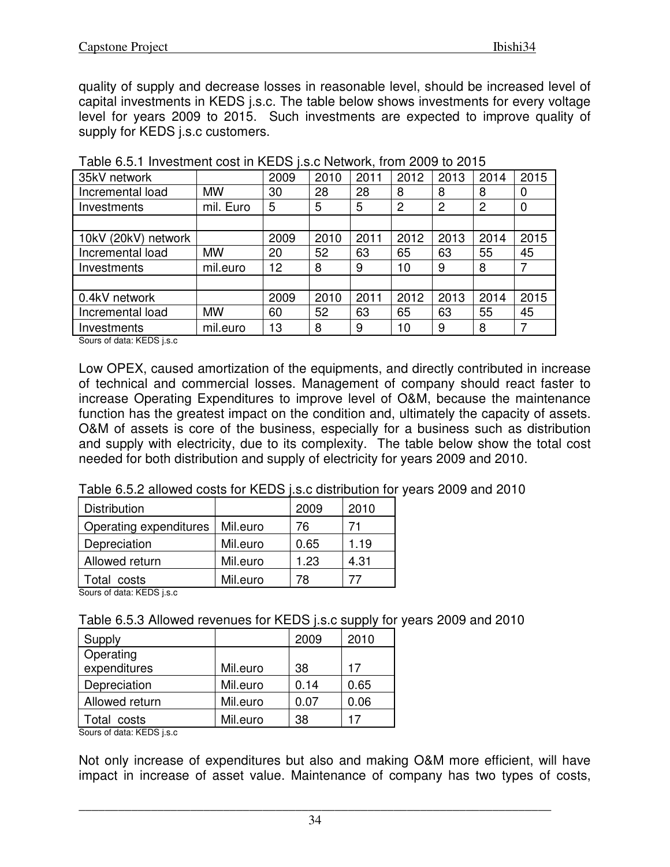quality of supply and decrease losses in reasonable level, should be increased level of capital investments in KEDS j.s.c. The table below shows investments for every voltage level for years 2009 to 2015. Such investments are expected to improve quality of supply for KEDS *j.s.c* customers.

| 35kV network        |           | 2009 | 2010 | 2011 | 2012           | 2013 | 2014 | 2015 |
|---------------------|-----------|------|------|------|----------------|------|------|------|
| Incremental load    | <b>MW</b> | 30   | 28   | 28   | 8              | 8    | 8    | 0    |
| Investments         | mil. Euro | 5    | 5    | 5    | $\overline{2}$ | 2    | 2    | 0    |
|                     |           |      |      |      |                |      |      |      |
| 10kV (20kV) network |           | 2009 | 2010 | 2011 | 2012           | 2013 | 2014 | 2015 |
| Incremental load    | <b>MW</b> | 20   | 52   | 63   | 65             | 63   | 55   | 45   |
| Investments         | mil.euro  | 12   | 8    | 9    | 10             | 9    | 8    |      |
|                     |           |      |      |      |                |      |      |      |
| 0.4kV network       |           | 2009 | 2010 | 2011 | 2012           | 2013 | 2014 | 2015 |
| Incremental load    | <b>MW</b> | 60   | 52   | 63   | 65             | 63   | 55   | 45   |
| Investments         | mil.euro  | 13   | 8    | 9    | 10             | 9    | 8    |      |

Sours of data: KEDS j.s.c

Low OPEX, caused amortization of the equipments, and directly contributed in increase of technical and commercial losses. Management of company should react faster to increase Operating Expenditures to improve level of O&M, because the maintenance function has the greatest impact on the condition and, ultimately the capacity of assets. O&M of assets is core of the business, especially for a business such as distribution and supply with electricity, due to its complexity. The table below show the total cost needed for both distribution and supply of electricity for years 2009 and 2010.

Table 6.5.2 allowed costs for KEDS j.s.c distribution for years 2009 and 2010

| <b>Distribution</b>    |          | 2009 | 2010 |
|------------------------|----------|------|------|
| Operating expenditures | Mil.euro | 76   |      |
| Depreciation           | Mil.euro | 0.65 | 1.19 |
| Allowed return         | Mil.euro | 1.23 | 4.31 |
| Total costs            | Mil.euro | 78   |      |

Sours of data: KEDS j.s.c

| Supply         |          | 2009 | 2010 |
|----------------|----------|------|------|
| Operating      |          |      |      |
| expenditures   | Mil.euro | 38   | 17   |
| Depreciation   | Mil.euro | 0.14 | 0.65 |
| Allowed return | Mil.euro | 0.07 | 0.06 |
| Total costs    | Mil.euro | 38   |      |

Sours of data: KEDS j.s.c

Not only increase of expenditures but also and making O&M more efficient, will have impact in increase of asset value. Maintenance of company has two types of costs,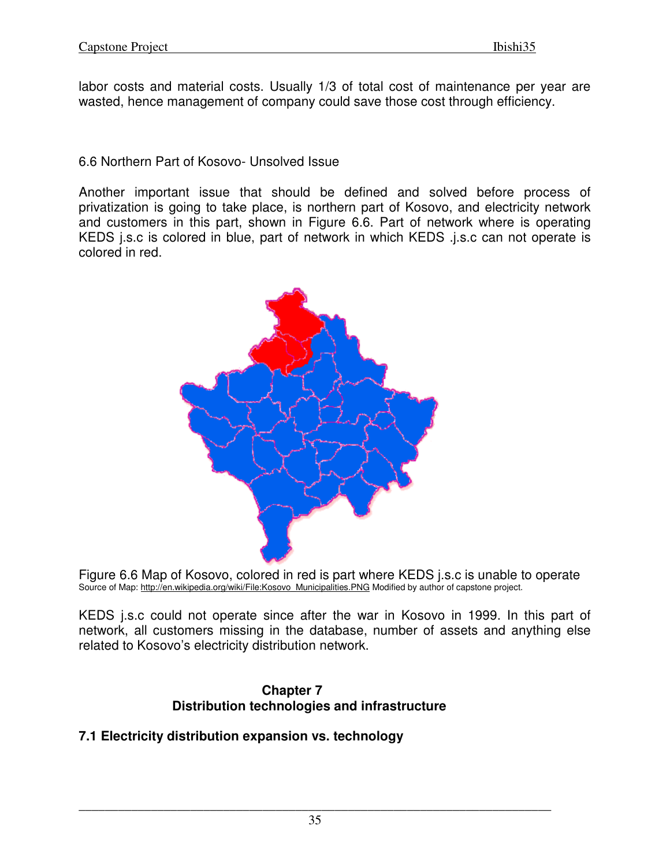labor costs and material costs. Usually 1/3 of total cost of maintenance per year are wasted, hence management of company could save those cost through efficiency.

#### 6.6 Northern Part of Kosovo- Unsolved Issue

Another important issue that should be defined and solved before process of privatization is going to take place, is northern part of Kosovo, and electricity network and customers in this part, shown in Figure 6.6. Part of network where is operating KEDS j.s.c is colored in blue, part of network in which KEDS .j.s.c can not operate is colored in red.





KEDS j.s.c could not operate since after the war in Kosovo in 1999. In this part of network, all customers missing in the database, number of assets and anything else related to Kosovo's electricity distribution network.

#### **Chapter 7 Distribution technologies and infrastructure**

## **7.1 Electricity distribution expansion vs. technology**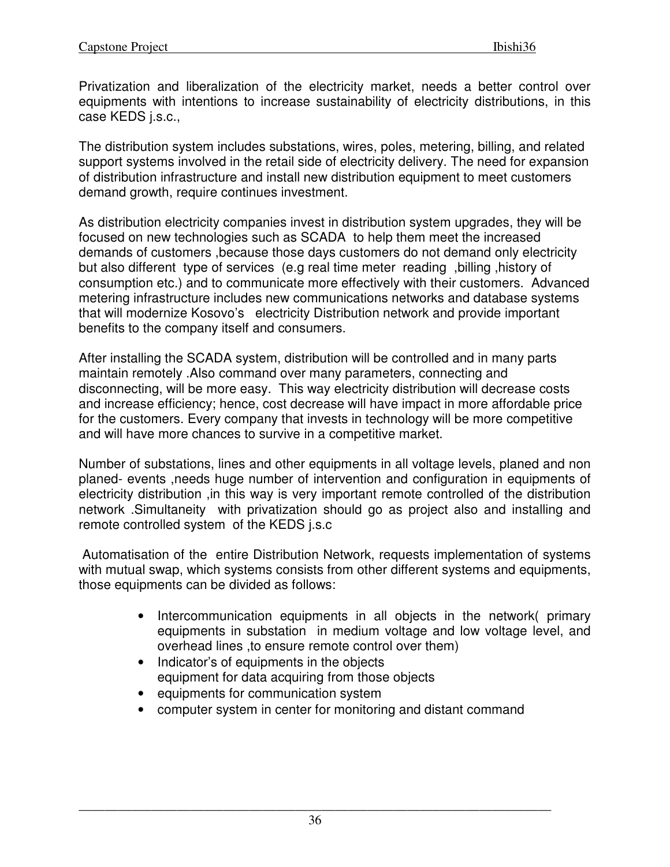Privatization and liberalization of the electricity market, needs a better control over equipments with intentions to increase sustainability of electricity distributions, in this case KEDS j.s.c.,

The distribution system includes substations, wires, poles, metering, billing, and related support systems involved in the retail side of electricity delivery. The need for expansion of distribution infrastructure and install new distribution equipment to meet customers demand growth, require continues investment.

As distribution electricity companies invest in distribution system upgrades, they will be focused on new technologies such as SCADA to help them meet the increased demands of customers ,because those days customers do not demand only electricity but also different type of services (e.g real time meter reading ,billing ,history of consumption etc.) and to communicate more effectively with their customers. Advanced metering infrastructure includes new communications networks and database systems that will modernize Kosovo's electricity Distribution network and provide important benefits to the company itself and consumers.

After installing the SCADA system, distribution will be controlled and in many parts maintain remotely .Also command over many parameters, connecting and disconnecting, will be more easy. This way electricity distribution will decrease costs and increase efficiency; hence, cost decrease will have impact in more affordable price for the customers. Every company that invests in technology will be more competitive and will have more chances to survive in a competitive market.

Number of substations, lines and other equipments in all voltage levels, planed and non planed- events ,needs huge number of intervention and configuration in equipments of electricity distribution ,in this way is very important remote controlled of the distribution network .Simultaneity with privatization should go as project also and installing and remote controlled system of the KEDS j.s.c

 Automatisation of the entire Distribution Network, requests implementation of systems with mutual swap, which systems consists from other different systems and equipments, those equipments can be divided as follows:

- Intercommunication equipments in all objects in the network( primary equipments in substation in medium voltage and low voltage level, and overhead lines ,to ensure remote control over them)
- Indicator's of equipments in the objects equipment for data acquiring from those objects
- equipments for communication system
- computer system in center for monitoring and distant command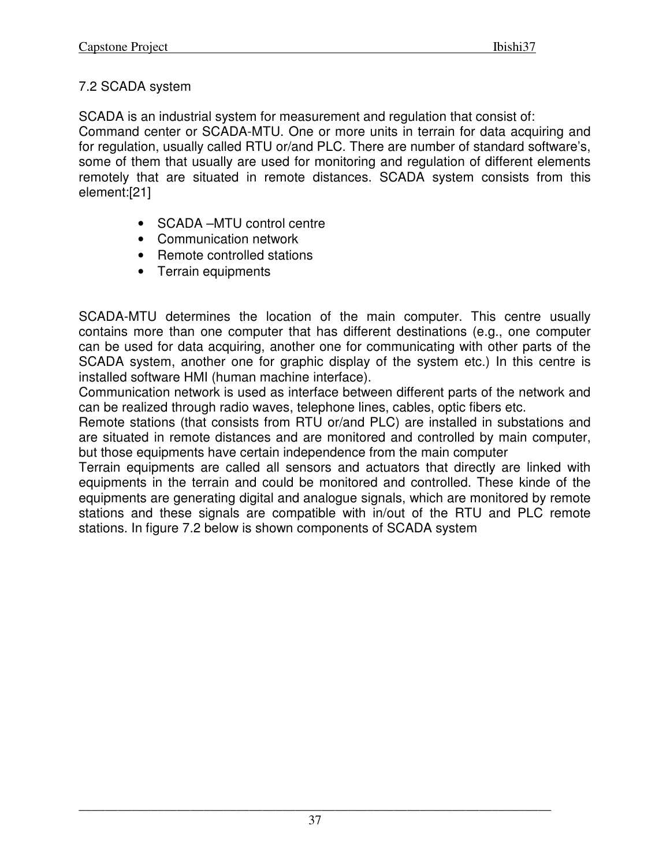## 7.2 SCADA system

SCADA is an industrial system for measurement and regulation that consist of: Command center or SCADA-MTU. One or more units in terrain for data acquiring and for regulation, usually called RTU or/and PLC. There are number of standard software's, some of them that usually are used for monitoring and regulation of different elements remotely that are situated in remote distances. SCADA system consists from this element:[21]

- SCADA –MTU control centre
- Communication network
- Remote controlled stations
- Terrain equipments

SCADA-MTU determines the location of the main computer. This centre usually contains more than one computer that has different destinations (e.g., one computer can be used for data acquiring, another one for communicating with other parts of the SCADA system, another one for graphic display of the system etc.) In this centre is installed software HMI (human machine interface).

Communication network is used as interface between different parts of the network and can be realized through radio waves, telephone lines, cables, optic fibers etc.

Remote stations (that consists from RTU or/and PLC) are installed in substations and are situated in remote distances and are monitored and controlled by main computer, but those equipments have certain independence from the main computer

Terrain equipments are called all sensors and actuators that directly are linked with equipments in the terrain and could be monitored and controlled. These kinde of the equipments are generating digital and analogue signals, which are monitored by remote stations and these signals are compatible with in/out of the RTU and PLC remote stations. In figure 7.2 below is shown components of SCADA system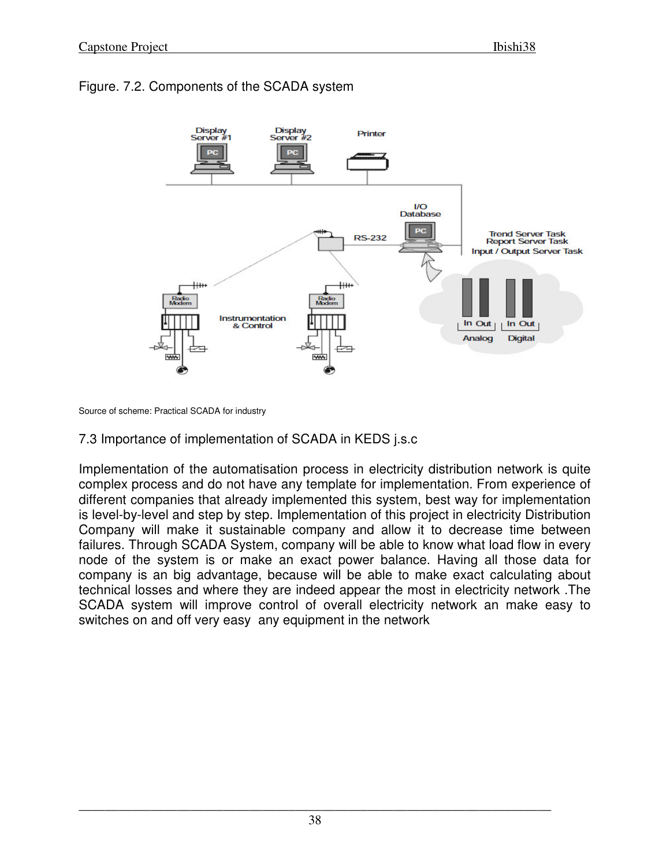## Figure. 7.2. Components of the SCADA system



Source of scheme: Practical SCADA for industry

## 7.3 Importance of implementation of SCADA in KEDS j.s.c

Implementation of the automatisation process in electricity distribution network is quite complex process and do not have any template for implementation. From experience of different companies that already implemented this system, best way for implementation is level-by-level and step by step. Implementation of this project in electricity Distribution Company will make it sustainable company and allow it to decrease time between failures. Through SCADA System, company will be able to know what load flow in every node of the system is or make an exact power balance. Having all those data for company is an big advantage, because will be able to make exact calculating about technical losses and where they are indeed appear the most in electricity network .The SCADA system will improve control of overall electricity network an make easy to switches on and off very easy any equipment in the network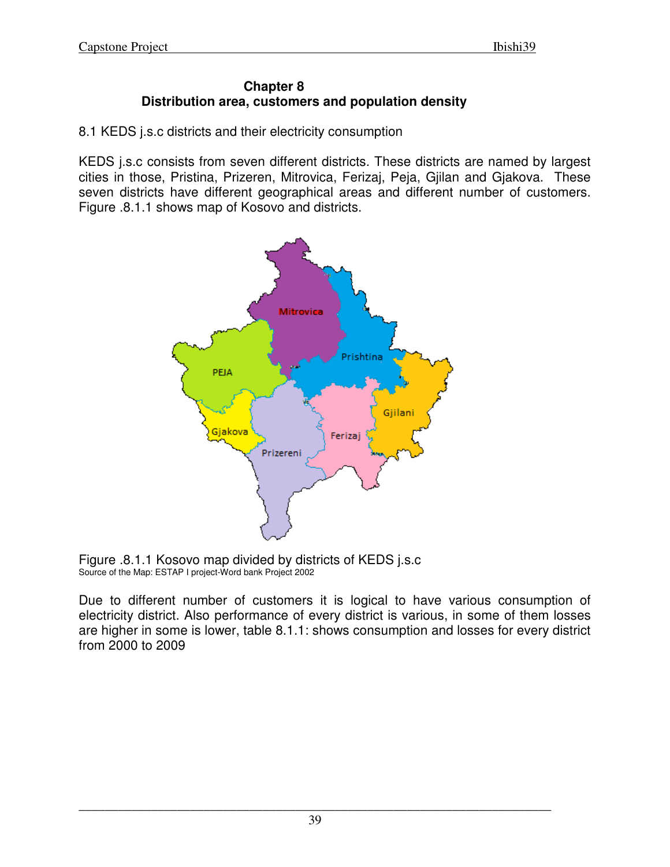#### **Chapter 8 Distribution area, customers and population density**

8.1 KEDS j.s.c districts and their electricity consumption

KEDS j.s.c consists from seven different districts. These districts are named by largest cities in those, Pristina, Prizeren, Mitrovica, Ferizaj, Peja, Gjilan and Gjakova. These seven districts have different geographical areas and different number of customers. Figure .8.1.1 shows map of Kosovo and districts.



 Figure .8.1.1 Kosovo map divided by districts of KEDS j.s.c Source of the Map: ESTAP I project-Word bank Project 2002

Due to different number of customers it is logical to have various consumption of electricity district. Also performance of every district is various, in some of them losses are higher in some is lower, table 8.1.1: shows consumption and losses for every district from 2000 to 2009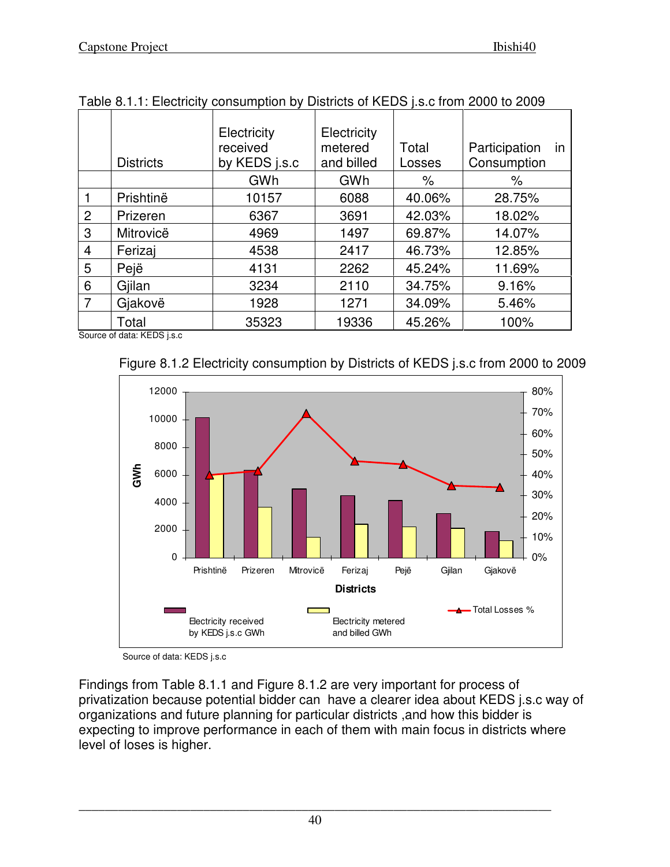|                | <b>Districts</b> | Electricity<br>received<br>by KEDS j.s.c | Electricity<br>metered<br>and billed | Total<br>Losses | Participation<br>in<br>Consumption |
|----------------|------------------|------------------------------------------|--------------------------------------|-----------------|------------------------------------|
|                |                  | GWh                                      | GWh                                  | $\%$            | $\%$                               |
|                | Prishtinë        | 10157                                    | 6088                                 | 40.06%          | 28.75%                             |
| $\overline{2}$ | Prizeren         | 6367                                     | 3691                                 | 42.03%          | 18.02%                             |
| 3              | Mitrovicë        | 4969                                     | 1497                                 | 69.87%          | 14.07%                             |
| 4              | Ferizaj          | 4538                                     | 2417                                 | 46.73%          | 12.85%                             |
| 5              | Pejë             | 4131                                     | 2262                                 | 45.24%          | 11.69%                             |
| 6              | Gjilan           | 3234                                     | 2110                                 | 34.75%          | 9.16%                              |
| 7              | Gjakovë          | 1928                                     | 1271                                 | 34.09%          | 5.46%                              |
|                | Total            | 35323                                    | 19336                                | 45.26%          | 100%                               |

|  |  |  |  | Table 8.1.1: Electricity consumption by Districts of KEDS j.s.c from 2000 to 2009 |
|--|--|--|--|-----------------------------------------------------------------------------------|
|--|--|--|--|-----------------------------------------------------------------------------------|

Source of data: KEDS j.s.c





Source of data: KEDS j.s.c

Findings from Table 8.1.1 and Figure 8.1.2 are very important for process of privatization because potential bidder can have a clearer idea about KEDS j.s.c way of organizations and future planning for particular districts ,and how this bidder is expecting to improve performance in each of them with main focus in districts where level of loses is higher.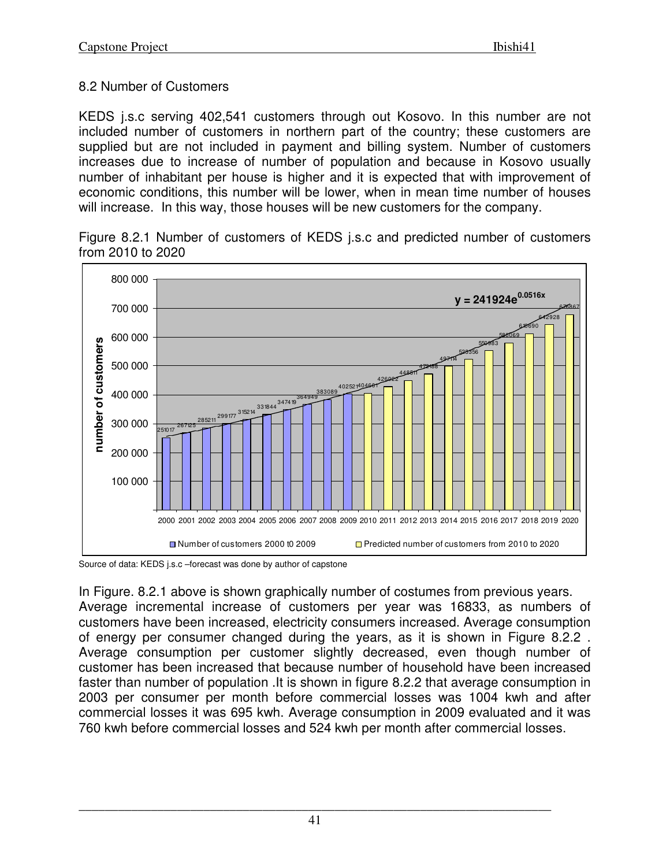## 8.2 Number of Customers

KEDS j.s.c serving 402,541 customers through out Kosovo. In this number are not included number of customers in northern part of the country; these customers are supplied but are not included in payment and billing system. Number of customers increases due to increase of number of population and because in Kosovo usually number of inhabitant per house is higher and it is expected that with improvement of economic conditions, this number will be lower, when in mean time number of houses will increase. In this way, those houses will be new customers for the company.

Figure 8.2.1 Number of customers of KEDS j.s.c and predicted number of customers from 2010 to 2020



Source of data: KEDS j.s.c –forecast was done by author of capstone

In Figure. 8.2.1 above is shown graphically number of costumes from previous years. Average incremental increase of customers per year was 16833, as numbers of customers have been increased, electricity consumers increased. Average consumption of energy per consumer changed during the years, as it is shown in Figure 8.2.2 . Average consumption per customer slightly decreased, even though number of customer has been increased that because number of household have been increased faster than number of population .It is shown in figure 8.2.2 that average consumption in 2003 per consumer per month before commercial losses was 1004 kwh and after commercial losses it was 695 kwh. Average consumption in 2009 evaluated and it was 760 kwh before commercial losses and 524 kwh per month after commercial losses.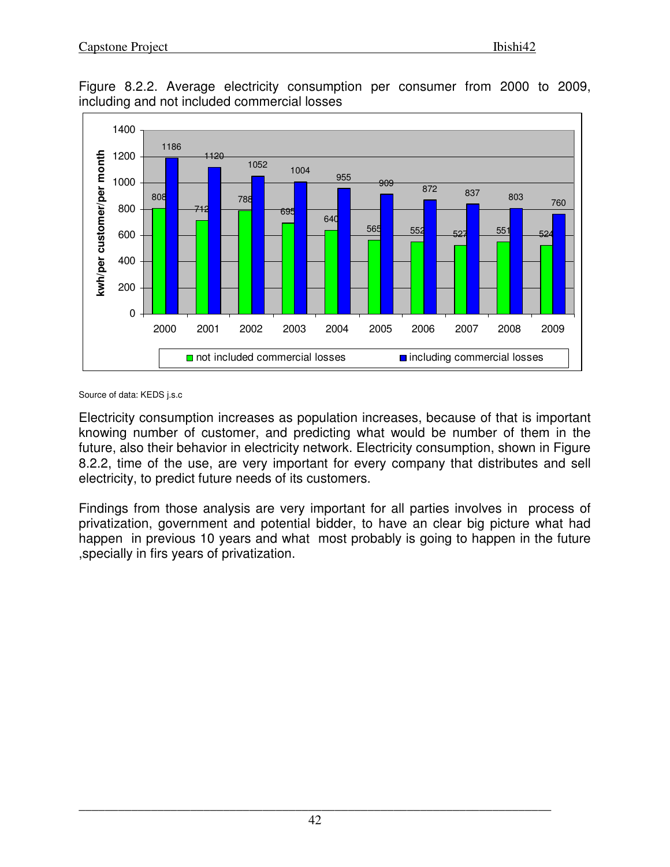

Figure 8.2.2. Average electricity consumption per consumer from 2000 to 2009, including and not included commercial losses

Source of data: KEDS j.s.c

Electricity consumption increases as population increases, because of that is important knowing number of customer, and predicting what would be number of them in the future, also their behavior in electricity network. Electricity consumption, shown in Figure 8.2.2, time of the use, are very important for every company that distributes and sell electricity, to predict future needs of its customers.

Findings from those analysis are very important for all parties involves in process of privatization, government and potential bidder, to have an clear big picture what had happen in previous 10 years and what most probably is going to happen in the future ,specially in firs years of privatization.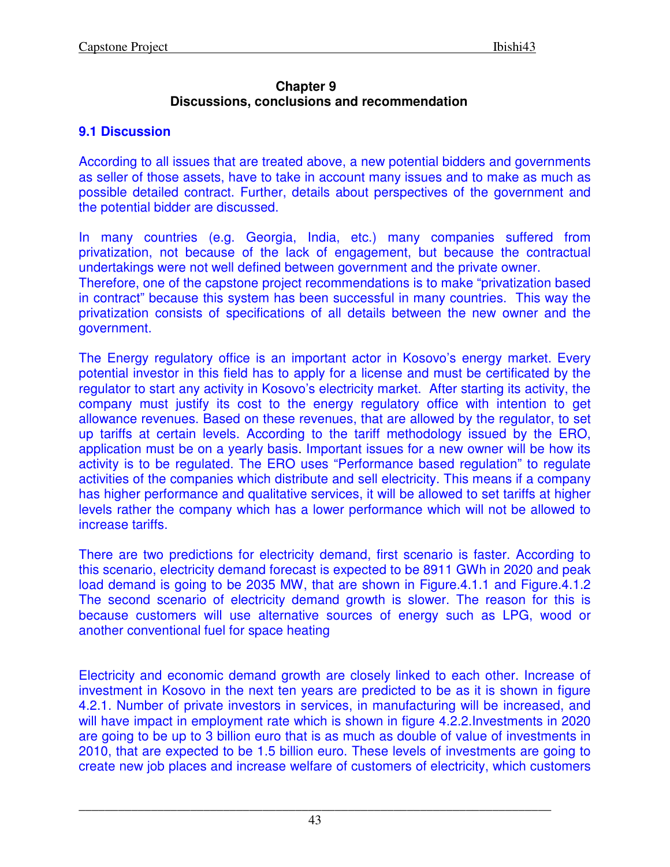#### **Chapter 9 Discussions, conclusions and recommendation**

## **9.1 Discussion**

According to all issues that are treated above, a new potential bidders and governments as seller of those assets, have to take in account many issues and to make as much as possible detailed contract. Further, details about perspectives of the government and the potential bidder are discussed.

In many countries (e.g. Georgia, India, etc.) many companies suffered from privatization, not because of the lack of engagement, but because the contractual undertakings were not well defined between government and the private owner. Therefore, one of the capstone project recommendations is to make "privatization based in contract" because this system has been successful in many countries. This way the privatization consists of specifications of all details between the new owner and the government.

The Energy regulatory office is an important actor in Kosovo's energy market. Every potential investor in this field has to apply for a license and must be certificated by the regulator to start any activity in Kosovo's electricity market. After starting its activity, the company must justify its cost to the energy regulatory office with intention to get allowance revenues. Based on these revenues, that are allowed by the regulator, to set up tariffs at certain levels. According to the tariff methodology issued by the ERO, application must be on a yearly basis. Important issues for a new owner will be how its activity is to be regulated. The ERO uses "Performance based regulation" to regulate activities of the companies which distribute and sell electricity. This means if a company has higher performance and qualitative services, it will be allowed to set tariffs at higher levels rather the company which has a lower performance which will not be allowed to increase tariffs.

There are two predictions for electricity demand, first scenario is faster. According to this scenario, electricity demand forecast is expected to be 8911 GWh in 2020 and peak load demand is going to be 2035 MW, that are shown in Figure.4.1.1 and Figure.4.1.2 The second scenario of electricity demand growth is slower. The reason for this is because customers will use alternative sources of energy such as LPG, wood or another conventional fuel for space heating

Electricity and economic demand growth are closely linked to each other. Increase of investment in Kosovo in the next ten years are predicted to be as it is shown in figure 4.2.1. Number of private investors in services, in manufacturing will be increased, and will have impact in employment rate which is shown in figure 4.2.2. Investments in 2020 are going to be up to 3 billion euro that is as much as double of value of investments in 2010, that are expected to be 1.5 billion euro. These levels of investments are going to create new job places and increase welfare of customers of electricity, which customers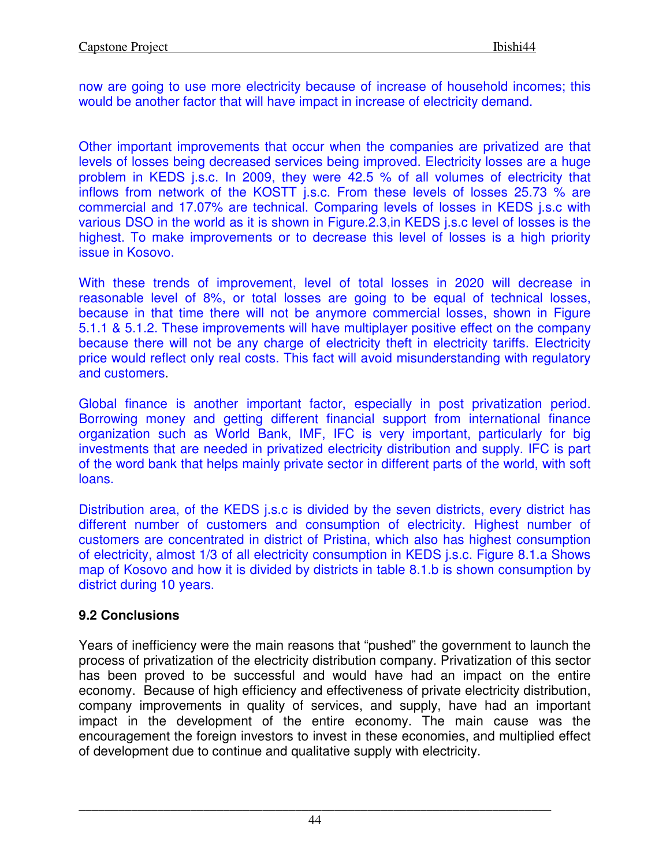now are going to use more electricity because of increase of household incomes; this would be another factor that will have impact in increase of electricity demand.

Other important improvements that occur when the companies are privatized are that levels of losses being decreased services being improved. Electricity losses are a huge problem in KEDS j.s.c. In 2009, they were 42.5 % of all volumes of electricity that inflows from network of the KOSTT j.s.c. From these levels of losses 25.73 % are commercial and 17.07% are technical. Comparing levels of losses in KEDS j.s.c with various DSO in the world as it is shown in Figure.2.3,in KEDS j.s.c level of losses is the highest. To make improvements or to decrease this level of losses is a high priority issue in Kosovo.

With these trends of improvement, level of total losses in 2020 will decrease in reasonable level of 8%, or total losses are going to be equal of technical losses, because in that time there will not be anymore commercial losses, shown in Figure 5.1.1 & 5.1.2. These improvements will have multiplayer positive effect on the company because there will not be any charge of electricity theft in electricity tariffs. Electricity price would reflect only real costs. This fact will avoid misunderstanding with regulatory and customers.

Global finance is another important factor, especially in post privatization period. Borrowing money and getting different financial support from international finance organization such as World Bank, IMF, IFC is very important, particularly for big investments that are needed in privatized electricity distribution and supply. IFC is part of the word bank that helps mainly private sector in different parts of the world, with soft loans.

Distribution area, of the KEDS j.s.c is divided by the seven districts, every district has different number of customers and consumption of electricity. Highest number of customers are concentrated in district of Pristina, which also has highest consumption of electricity, almost 1/3 of all electricity consumption in KEDS j.s.c. Figure 8.1.a Shows map of Kosovo and how it is divided by districts in table 8.1.b is shown consumption by district during 10 years.

## **9.2 Conclusions**

Years of inefficiency were the main reasons that "pushed" the government to launch the process of privatization of the electricity distribution company. Privatization of this sector has been proved to be successful and would have had an impact on the entire economy. Because of high efficiency and effectiveness of private electricity distribution, company improvements in quality of services, and supply, have had an important impact in the development of the entire economy. The main cause was the encouragement the foreign investors to invest in these economies, and multiplied effect of development due to continue and qualitative supply with electricity.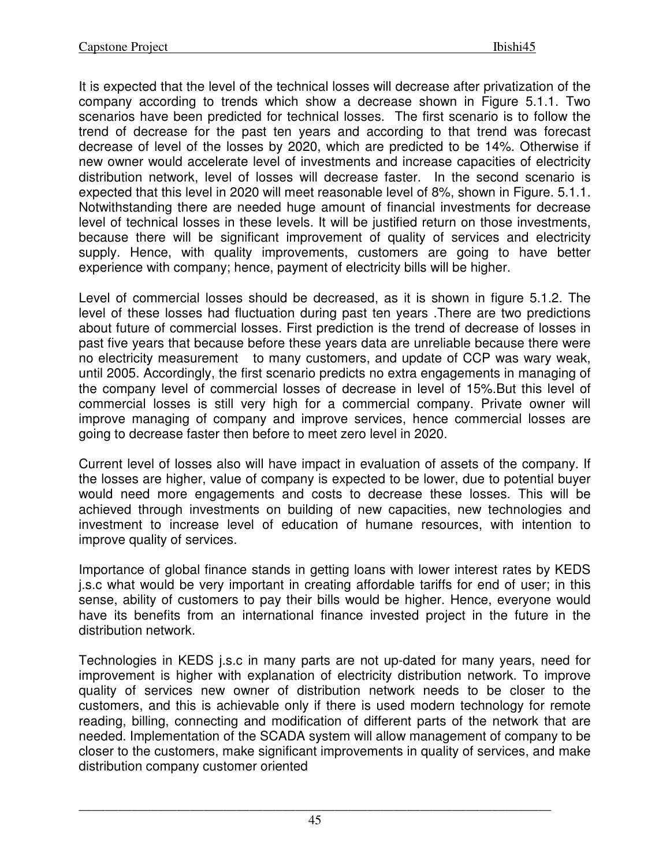It is expected that the level of the technical losses will decrease after privatization of the company according to trends which show a decrease shown in Figure 5.1.1. Two scenarios have been predicted for technical losses. The first scenario is to follow the trend of decrease for the past ten years and according to that trend was forecast decrease of level of the losses by 2020, which are predicted to be 14%. Otherwise if new owner would accelerate level of investments and increase capacities of electricity distribution network, level of losses will decrease faster. In the second scenario is expected that this level in 2020 will meet reasonable level of 8%, shown in Figure. 5.1.1. Notwithstanding there are needed huge amount of financial investments for decrease level of technical losses in these levels. It will be justified return on those investments, because there will be significant improvement of quality of services and electricity supply. Hence, with quality improvements, customers are going to have better experience with company; hence, payment of electricity bills will be higher.

Level of commercial losses should be decreased, as it is shown in figure 5.1.2. The level of these losses had fluctuation during past ten years .There are two predictions about future of commercial losses. First prediction is the trend of decrease of losses in past five years that because before these years data are unreliable because there were no electricity measurement to many customers, and update of CCP was wary weak, until 2005. Accordingly, the first scenario predicts no extra engagements in managing of the company level of commercial losses of decrease in level of 15%.But this level of commercial losses is still very high for a commercial company. Private owner will improve managing of company and improve services, hence commercial losses are going to decrease faster then before to meet zero level in 2020.

Current level of losses also will have impact in evaluation of assets of the company. If the losses are higher, value of company is expected to be lower, due to potential buyer would need more engagements and costs to decrease these losses. This will be achieved through investments on building of new capacities, new technologies and investment to increase level of education of humane resources, with intention to improve quality of services.

Importance of global finance stands in getting loans with lower interest rates by KEDS j.s.c what would be very important in creating affordable tariffs for end of user; in this sense, ability of customers to pay their bills would be higher. Hence, everyone would have its benefits from an international finance invested project in the future in the distribution network.

Technologies in KEDS j.s.c in many parts are not up-dated for many years, need for improvement is higher with explanation of electricity distribution network. To improve quality of services new owner of distribution network needs to be closer to the customers, and this is achievable only if there is used modern technology for remote reading, billing, connecting and modification of different parts of the network that are needed. Implementation of the SCADA system will allow management of company to be closer to the customers, make significant improvements in quality of services, and make distribution company customer oriented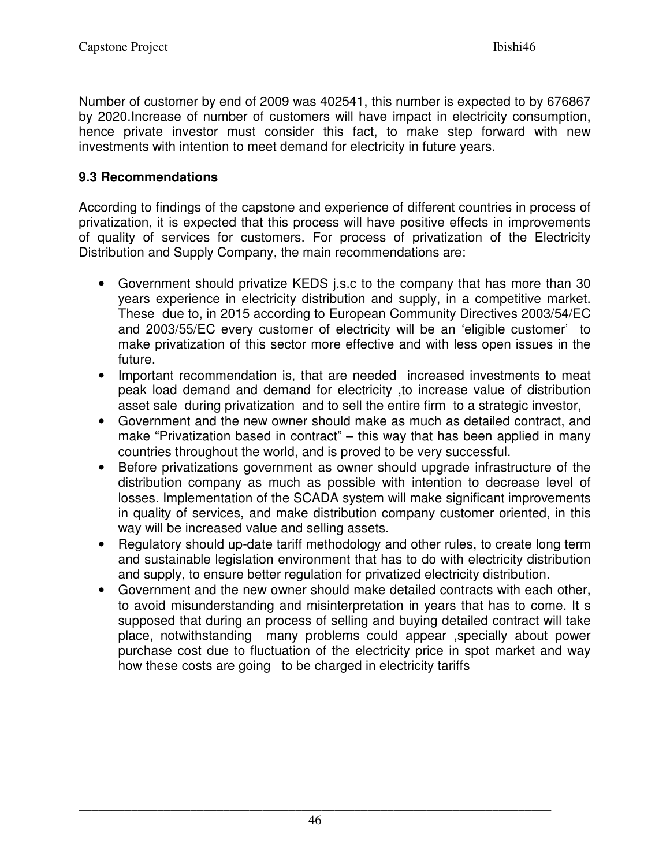Number of customer by end of 2009 was 402541, this number is expected to by 676867 by 2020.Increase of number of customers will have impact in electricity consumption, hence private investor must consider this fact, to make step forward with new investments with intention to meet demand for electricity in future years.

## **9.3 Recommendations**

According to findings of the capstone and experience of different countries in process of privatization, it is expected that this process will have positive effects in improvements of quality of services for customers. For process of privatization of the Electricity Distribution and Supply Company, the main recommendations are:

- Government should privatize KEDS j.s.c to the company that has more than 30 years experience in electricity distribution and supply, in a competitive market. These due to, in 2015 according to European Community Directives 2003/54/EC and 2003/55/EC every customer of electricity will be an 'eligible customer' to make privatization of this sector more effective and with less open issues in the future.
- Important recommendation is, that are needed increased investments to meat peak load demand and demand for electricity ,to increase value of distribution asset sale during privatization and to sell the entire firm to a strategic investor,
- Government and the new owner should make as much as detailed contract, and make "Privatization based in contract" – this way that has been applied in many countries throughout the world, and is proved to be very successful.
- Before privatizations government as owner should upgrade infrastructure of the distribution company as much as possible with intention to decrease level of losses. Implementation of the SCADA system will make significant improvements in quality of services, and make distribution company customer oriented, in this way will be increased value and selling assets.
- Regulatory should up-date tariff methodology and other rules, to create long term and sustainable legislation environment that has to do with electricity distribution and supply, to ensure better regulation for privatized electricity distribution.
- Government and the new owner should make detailed contracts with each other, to avoid misunderstanding and misinterpretation in years that has to come. It s supposed that during an process of selling and buying detailed contract will take place, notwithstanding many problems could appear ,specially about power purchase cost due to fluctuation of the electricity price in spot market and way how these costs are going to be charged in electricity tariffs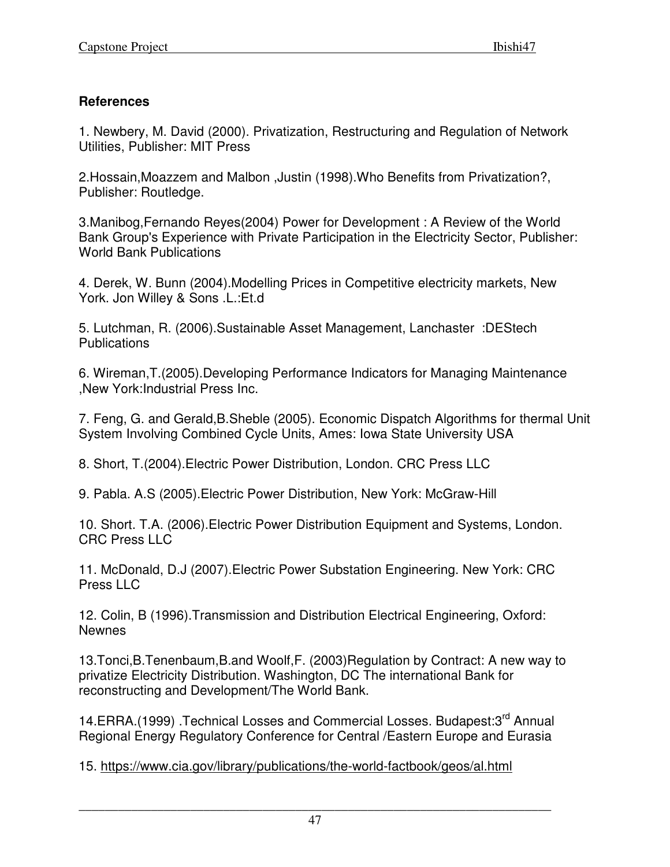## **References**

1. Newbery, M. David (2000). Privatization, Restructuring and Regulation of Network Utilities, Publisher: MIT Press

2.Hossain,Moazzem and Malbon ,Justin (1998).Who Benefits from Privatization?, Publisher: Routledge.

3.Manibog,Fernando Reyes(2004) Power for Development : A Review of the World Bank Group's Experience with Private Participation in the Electricity Sector, Publisher: World Bank Publications

4. Derek, W. Bunn (2004).Modelling Prices in Competitive electricity markets, New York. Jon Willey & Sons .L.:Et.d

5. Lutchman, R. (2006).Sustainable Asset Management, Lanchaster :DEStech **Publications** 

6. Wireman,T.(2005).Developing Performance Indicators for Managing Maintenance ,New York:Industrial Press Inc.

7. Feng, G. and Gerald,B.Sheble (2005). Economic Dispatch Algorithms for thermal Unit System Involving Combined Cycle Units, Ames: Iowa State University USA

8. Short, T.(2004).Electric Power Distribution, London. CRC Press LLC

9. Pabla. A.S (2005).Electric Power Distribution, New York: McGraw-Hill

10. Short. T.A. (2006).Electric Power Distribution Equipment and Systems, London. CRC Press LLC

11. McDonald, D.J (2007).Electric Power Substation Engineering. New York: CRC Press LLC

12. Colin, B (1996).Transmission and Distribution Electrical Engineering, Oxford: Newnes

13.Tonci,B.Tenenbaum,B.and Woolf,F. (2003)Regulation by Contract: A new way to privatize Electricity Distribution. Washington, DC The international Bank for reconstructing and Development/The World Bank.

14.ERRA.(1999) .Technical Losses and Commercial Losses. Budapest:3<sup>rd</sup> Annual Regional Energy Regulatory Conference for Central /Eastern Europe and Eurasia

15. https://www.cia.gov/library/publications/the-world-factbook/geos/al.html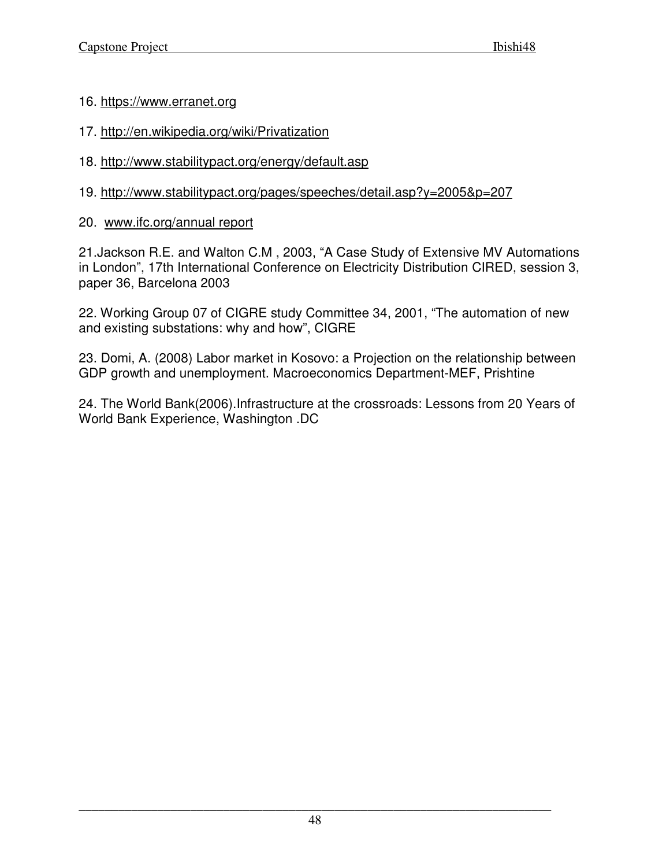#### 16. https://www.erranet.org

- 17. http://en.wikipedia.org/wiki/Privatization
- 18. http://www.stabilitypact.org/energy/default.asp
- 19. http://www.stabilitypact.org/pages/speeches/detail.asp?y=2005&p=207
- 20. www.ifc.org/annual report

21.Jackson R.E. and Walton C.M , 2003, "A Case Study of Extensive MV Automations in London", 17th International Conference on Electricity Distribution CIRED, session 3, paper 36, Barcelona 2003

22. Working Group 07 of CIGRE study Committee 34, 2001, "The automation of new and existing substations: why and how", CIGRE

23. Domi, A. (2008) Labor market in Kosovo: a Projection on the relationship between GDP growth and unemployment. Macroeconomics Department-MEF, Prishtine

24. The World Bank(2006).Infrastructure at the crossroads: Lessons from 20 Years of World Bank Experience, Washington .DC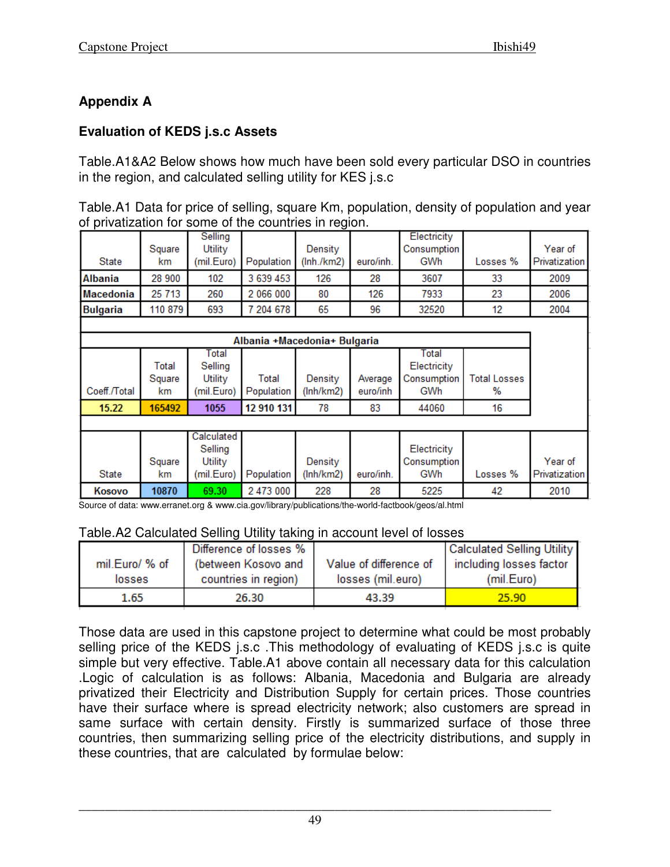# **Appendix A**

# **Evaluation of KEDS j.s.c Assets**

Table.A1&A2 Below shows how much have been sold every particular DSO in countries in the region, and calculated selling utility for KES j.s.c

Table.A1 Data for price of selling, square Km, population, density of population and year of privatization for some of the countries in region.

| State           | Square<br>km | Selling<br>Utility<br>(mil.Euro) | Population                   | Density<br>(lnh./km2) | euro/inh. | Electricity<br>Consumption<br>GWh | Losses %            | Year of<br>Privatization |  |
|-----------------|--------------|----------------------------------|------------------------------|-----------------------|-----------|-----------------------------------|---------------------|--------------------------|--|
| Albania         | 28 900       | 102                              | 3 639 453                    | 126                   | 28        | 3607                              | 33                  | 2009                     |  |
| Macedonia       | 25 713       | 260                              | 2 066 000                    | 80                    | 126       | 7933                              | 23                  | 2006                     |  |
| <b>Bulgaria</b> | 110 879      | 693                              | 7 204 678                    | 65                    | 96        | 32520                             | 12                  | 2004                     |  |
|                 |              |                                  |                              |                       |           |                                   |                     |                          |  |
|                 |              |                                  | Albania +Macedonia+ Bulgaria |                       |           |                                   |                     |                          |  |
|                 | Total        | Total<br>Selling                 |                              |                       |           | Total<br>Electricity              |                     |                          |  |
|                 | Square       | Utility                          | Total                        | Density               | Average   | Consumption                       | <b>Total Losses</b> |                          |  |
| Coeff./Total    | km.          | (mil.Euro)                       | Population                   | (lnh/km2)             | euro/inh  | GWh                               | %                   |                          |  |
| 15.22           | 165492       | 1055                             | 12 910 131                   | 78                    | 83        | 44060                             | 16                  |                          |  |
|                 |              |                                  |                              |                       |           |                                   |                     |                          |  |
|                 | Square       | Calculated<br>Selling<br>Utility |                              | Density               |           | Electricity<br>Consumption        |                     | Year of                  |  |
| <b>State</b>    | km.          | (mil.Euro)                       | Population                   | (lnh/km2)             | euro/inh. | <b>GWh</b>                        | Losses %            | Privatization            |  |
| Kosovo          | 10870        | 69.30                            | 2 473 000                    | 228                   | 28        | 5225                              | 42                  | 2010                     |  |

Source of data: www.erranet.org & www.cia.gov/library/publications/the-world-factbook/geos/al.html

#### Table.A2 Calculated Selling Utility taking in account level of losses

|                | Difference of losses % |                        | Calculated Selling Utility |
|----------------|------------------------|------------------------|----------------------------|
| mil.Euro/ % of | (between Kosovo and    | Value of difference of | including losses factor    |
| losses         | countries in region)   | losses (mil.euro)      | (mil.Euro)                 |
| 1.65           | 26.30                  | 43.39                  | 25.90                      |

Those data are used in this capstone project to determine what could be most probably selling price of the KEDS j.s.c .This methodology of evaluating of KEDS j.s.c is quite simple but very effective. Table.A1 above contain all necessary data for this calculation .Logic of calculation is as follows: Albania, Macedonia and Bulgaria are already privatized their Electricity and Distribution Supply for certain prices. Those countries have their surface where is spread electricity network; also customers are spread in same surface with certain density. Firstly is summarized surface of those three countries, then summarizing selling price of the electricity distributions, and supply in these countries, that are calculated by formulae below: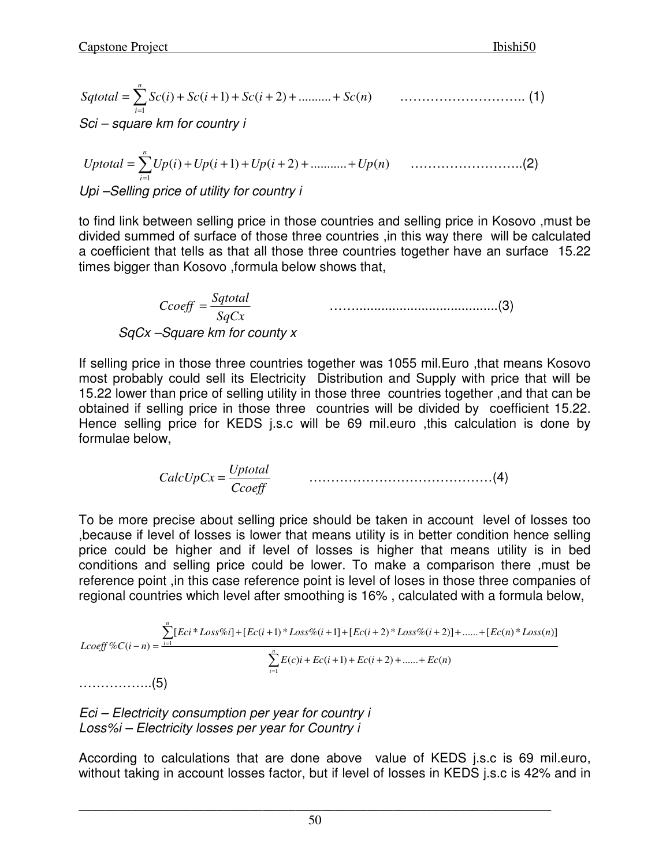$$
Sqtotal = \sum_{i=1}^{n} Sc(i) + Sc(i+1) + Sc(i+2) + \dots + Sc(n) \tag{1}
$$

Sci – square km for country i

)( ( )1 ( )2 ........... ( ) 1 *Uptotal Up i Up i Up i Up n n i* <sup>=</sup> ∑ <sup>+</sup> <sup>+</sup> <sup>+</sup> <sup>+</sup> <sup>+</sup> <sup>+</sup> = ……………………..(2) Upi –Selling price of utility for country i

to find link between selling price in those countries and selling price in Kosovo ,must be divided summed of surface of those three countries ,in this way there will be calculated a coefficient that tells as that all those three countries together have an surface 15.22 times bigger than Kosovo ,formula below shows that,

$$
Ccoeff = \frac{Sqtotal}{SqCx}
$$
 \n........  
\n
$$
SqCx - Square \, km \, for \, county \, x
$$

If selling price in those three countries together was 1055 mil.Euro ,that means Kosovo most probably could sell its Electricity Distribution and Supply with price that will be 15.22 lower than price of selling utility in those three countries together ,and that can be obtained if selling price in those three countries will be divided by coefficient 15.22. Hence selling price for KEDS j.s.c will be 69 mil.euro ,this calculation is done by formulae below,

> *Ccoeff Uptotal CalcUpCx* <sup>=</sup> ……………………………………(4)

To be more precise about selling price should be taken in account level of losses too ,because if level of losses is lower that means utility is in better condition hence selling price could be higher and if level of losses is higher that means utility is in bed conditions and selling price could be lower. To make a comparison there ,must be reference point ,in this case reference point is level of loses in those three companies of regional countries which level after smoothing is 16% , calculated with a formula below,

$$
L\text{coeff}\%C(i-n) = \frac{\sum_{i=1}^{n} [Eci * Loss\%i] + [Ec(i+1) * Loss\%i + 1] + [Ec(i+2) * Loss\%i + 2)] + \dots + [Ec(n) * Loss(n)]}{\sum_{i=1}^{n} E(c)i + Ec(i+1) + Ec(i+2) + \dots + Ec(n)}
$$
\n
$$
\dots \dots \dots \dots \dots (5)
$$

Eci – Electricity consumption per year for country i Loss%i – Electricity losses per year for Country i

According to calculations that are done above value of KEDS j.s.c is 69 mil.euro, without taking in account losses factor, but if level of losses in KEDS j.s.c is 42% and in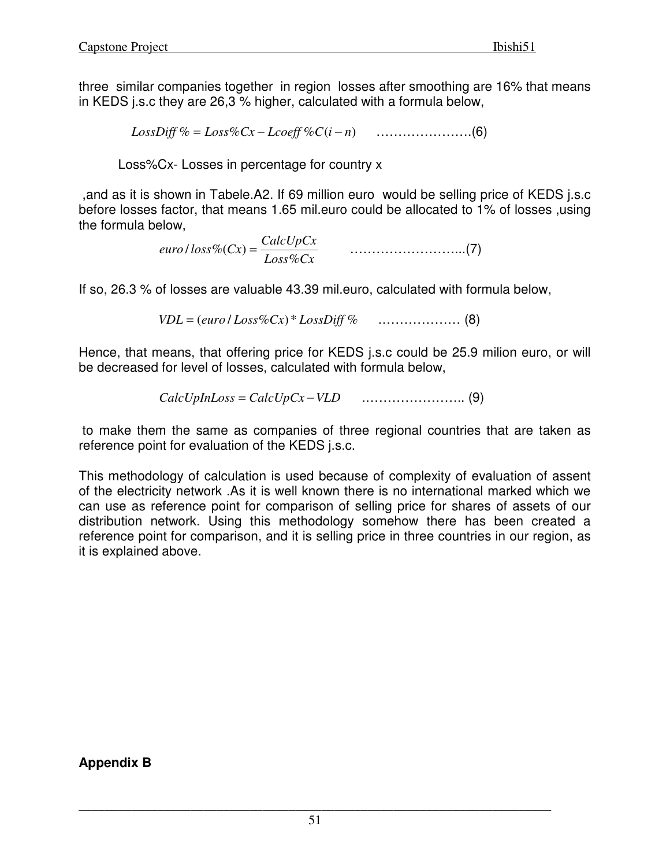three similar companies together in region losses after smoothing are 16% that means in KEDS j.s.c they are 26,3 % higher, calculated with a formula below,

*LossDiff* % = *Loss*%*Cx* − *Lcoeff* %*C*(*i* − *n*) ………………….(6)

Loss%Cx- Losses in percentage for country x

 ,and as it is shown in Tabele.A2. If 69 million euro would be selling price of KEDS j.s.c before losses factor, that means 1.65 mil.euro could be allocated to 1% of losses ,using the formula below,

> *Loss Cx*  $\mathcal{C}$ *euro l* loss $\mathcal{C}$ *c*(*Cx*) =  $\frac{CalcUpCx}{\sqrt{C}}$  $%$ / %( ) = ……………………...(7)

If so, 26.3 % of losses are valuable 43.39 mil.euro, calculated with formula below,

*VDL* = (*euro* / *Loss*%*Cx* \*) *LossDiff* % .……………… (8)

Hence, that means, that offering price for KEDS j.s.c could be 25.9 milion euro, or will be decreased for level of losses, calculated with formula below,

*CalcUpInLoss* = *CalcUpCx* −*VLD* .………………….. (9)

 to make them the same as companies of three regional countries that are taken as reference point for evaluation of the KEDS j.s.c.

This methodology of calculation is used because of complexity of evaluation of assent of the electricity network .As it is well known there is no international marked which we can use as reference point for comparison of selling price for shares of assets of our distribution network. Using this methodology somehow there has been created a reference point for comparison, and it is selling price in three countries in our region, as it is explained above.

**Appendix B**